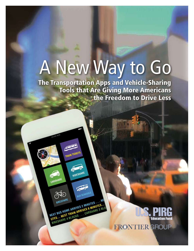# A New Way to Go

The Transportation Apps and Vehicle-Sharing Tools that Are Giving More Americans the Freedom to Drive Less

**Bikeshare**

 $\mathbb{R}^3$ 

**CARSHARE** 

**train tickets**

**bus schedule**

**BIKESHARE**<br>BIKESHARE ARRIVES 2 MINUTES ... NEW YORK ARRIVES 6 MINUTES ...<br>NEXT BUS HOME ARAIN ARRIVES 6 MINUTES ... **UEXT BUS HOME ARRIVES 2 MINUTES...**<br>JEXT BUS HOME ARRIVERS 6 MINUTES...<br>UTES....NEXT TRAIN ARRIVES 6 CARSHARE 3 BL **EXT BUS HOME ARRIVES & MINOR 3 BLO**<br>LEXT BUS HOME ARAIN ARRIVES & MINOR 3 BLO<br>JTES... NEXT TRAIN ARRIVES ... CARSHARE 3 BLO

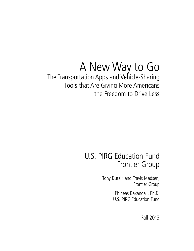# A New Way to Go

# The Transportation Apps and Vehicle-Sharing Tools that Are Giving More Americans the Freedom to Drive Less

# U.S. PIRG Education Fund Frontier Group

Tony Dutzik and Travis Madsen, Frontier Group

> Phineas Baxandall, Ph.D. U.S. PIRG Education Fund

> > Fall 2013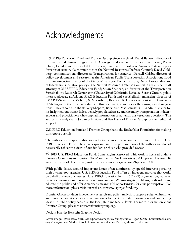# Acknowledgments

U.S. PIRG Education Fund and Frontier Group sincerely thank David Burwell, director of the energy and climate program at the Carnegie Endowment for International Peace; Robin Chase, founder and former CEO of Zipcar, Buzzcar and GoLoco; Amanda Eaken, deputy director of sustainable communities at the Natural Resources Defense Council; David Goldberg, communications director at Transportation for America; Darnell Grisby, director of policy development and research at the American Public Transportation Association; Todd Litman, executive director of the Victoria Transport Policy Institute; Deron Lovaas, director of federal transportation policy at the Natural Resources Defense Council; Kirstie Pecci, staff attorney at MASSPIRG Education Fund; Susan Shaheen, co-director of the Transportation Sustainability Research Center at the University of California, Berkeley; Serena Unrein, public interest advocate at Arizona PIRG Education Fund; and Sue Zielinski, managing director of SMART (Sustainable Mobility & Accessibility Research & Transformation) at the University of Michigan for their review of drafts of this document, as well as for their insights and suggestions. The authors also thank Gary Shepard, Berkshire, Massachusetts RTA administrator for his insights about transit in less densely populated areas, and the many transportation industry experts and practitioners who supplied information or patiently answered our questions. The authors sincerely thank Jordan Schneider and Ben Davis of Frontier Group for their editorial support.

U.S. PIRG Education Fund and Frontier Group thank the Rockefeller Foundation for making this report possible.

The authors bear responsibility for any factual errors. The recommendations are those of U.S. PIRG Education Fund. The views expressed in this report are those of the authors and do not necessarily reflect the views of our funders or those who provided review.

 2013 U.S. PIRG Education Fund. Some Rights Reserved. This work is licensed under a Creative Commons Attribution Non-Commercial No Derivatives 3.0 Unported License. To view the terms of this license, visit creativecommons.org/licenses/by-nc-nd/3.0.

With public debate around important issues often dominated by special interests pursuing their own narrow agendas, U.S. PIRG Education Fund offers an independent voice that works on behalf of the public interest. U.S. PIRG Education Fund, a  $501(c)(3)$  organization, works to protect consumers and promote good government. We investigate problems, craft solutions, educate the public and offer Americans meaningful opportunities for civic participation. For more information, please visit our website at www.uspirgedfund.org.

Frontier Group conducts independent research and policy analysis to support a cleaner, healthier and more democratic society. Our mission is to inject accurate information and compelling ideas into public policy debates at the local, state and federal levels. For more information about Frontier Group, please visit www.frontiergroup.org.

Design: Harriet Eckstein Graphic Design

Cover images: *street scene*, Yuri, iStockphoto.com; *phone*, Sunny studio - Igor Yaruta, Shutterstock.com; *map & compass icon*, Vladru, iStockphoto.com; travel icons, Puruan, Shutterstock.com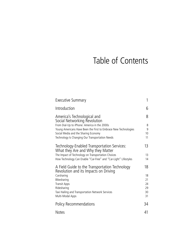# Table of Contents

| <b>Executive Summary</b>                                                                                                                                                       |             |  |
|--------------------------------------------------------------------------------------------------------------------------------------------------------------------------------|-------------|--|
| Introduction                                                                                                                                                                   | 6           |  |
| America's Technological and<br>Social Networking Revolution<br>From Dial-Up to iPhone: America in the 2000s<br>Young Americans Have Been the First to Embrace New Technologies | 8<br>8<br>9 |  |
| Social Media and the Sharing Economy<br>Technology Is Changing Our Transportation Needs                                                                                        | 10<br>11    |  |
| Technology-Enabled Transportation Services:<br>What they Are and Why they Matter                                                                                               | 13          |  |
| The Impact of Technology on Transportation Choices<br>How Technology Can Enable "Car-Free" and "Car-Light" Lifestyles                                                          | 13<br>14    |  |
| A Field Guide to the Transportation Technology<br>Revolution and its Impacts on Driving                                                                                        | 18          |  |
| Carsharing                                                                                                                                                                     | 18          |  |
| Bikesharing                                                                                                                                                                    | 21          |  |
| <b>Transit Apps</b>                                                                                                                                                            | 24          |  |
| Ridesharing<br>Taxi Hailing and Transportation Network Services                                                                                                                | 29<br>30    |  |
| Multi-Modal Apps                                                                                                                                                               | 31          |  |
| <b>Policy Recommendations</b>                                                                                                                                                  | 34          |  |
| <b>Notes</b>                                                                                                                                                                   | 41          |  |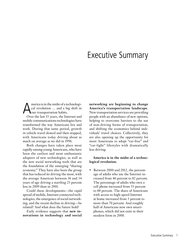# Executive Summary

America is in the midst of a technological revolution ... and a big shift in<br>our transportation habits. cal revolution … and a big shift in our transportation habits.

Over the last 15 years, the Internet and mobile communications technologies have transformed the way Americans live and work. During that same period, growth in vehicle travel slowed and then stopped, with Americans today driving about as much on average as we did in 1996.

Both changes have taken place most rapidly among young Americans, who have been the earliest and most enthusiastic adopters of new technologies, as well as the new social networking tools that are the foundation of the emerging "sharing economy." They have also been the group that has reduced its driving the most, with the average American between 16 and 34 years of age driving a startling 23 percent less in 2009 than in 2001.

Could these developments—the rapid spread of mobile, Internet-connected technologies, the emergence of social networking, and the recent decline in driving—be related? And what does the future hold?

Early evidence suggests that **new innovations in technology and social**  **networking are beginning to change America's transportation landscape**. New transportation services are providing people with an abundance of new options, helping to overcome barriers to the use of non-driving forms of transportation, and shifting the economics behind individuals' travel choices. Collectively, they are also opening up the opportunity for more Americans to adopt "car-free" and "car-light" lifestyles with dramatically less driving.

#### **America is in the midst of a technological revolution.**

Between 2000 and 2012, the percentage of adults who use the Internet increased from 46 percent to 82 percent. The percentage of adults who own a cell phone increased from 53 percent to 88 percent. The share of Americans with access to high-speed Internet at home increased from 5 percent to more than 70 percent. And roughly half of Americans now own smartphones, which did not exist in their modern form in 2000.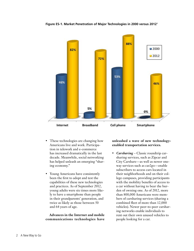**Figure ES-1. Market Penetration of Major Technologies in 2000 versus 20121**



- These technologies are changing how Americans live and work. Participation in telework and e-commerce has increased dramatically in the last decade. Meanwhile, social networking has helped unleash an emerging "sharing economy."
- Young Americans have consistently been the first to adopt and test the capabilities of these new technologies and practices. As of September 2012, young adults were six times more likely to have a smartphone than people in their grandparents' generation, and twice as likely as those between 50 and 64 years of age.

**Advances in the Internet and mobile communications technologies have** 

#### **unleashed a wave of new technologyenabled transportation services.**

• *Carsharing* – Classic roundtrip carsharing services, such as Zipcar and City Carshare—as well as newer oneway services such as car2go—enable subscribers to access cars located in their neighborhoods and on their college campuses, providing participants with the mobility benefits of access to a car without having to bear the burden of owning one. As of 2012, more than 800,000 Americans were members of carsharing services (sharing a combined fleet of more than 12,000 vehicles). Newer peer-to-peer carsharing networks enable individuals to rent out their own unused vehicles to people looking for a car.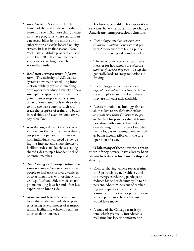- *Bikesharing* Six years after the launch of the first modern bikesharing system in the U.S., more than 30 cities now have programs where subscribers can access bikes by the minute or by subscription at kiosks located on city streets. In just its first season, New York City's Citibike program enlisted more than 70,000 annual members, with riders traveling more than 4.5 million miles.
- *Real-time transportation information –* The majority of U.S. transit systems now make scheduling information publicly available, enabling developers to produce a variety of new smartphone apps to help riders navigate urban transportation systems. Smartphone-based tools enable riders to find the best route for their trip, track the progress of trains and buses in real time, and even, in some cases, pay their fare.
- *Ridesharing* A variety of new services across the country pair ordinary people with open seats in their cars with individuals who need a ride. Using the Internet and smartphones to facilitate rides enables those seeking shared rides to tap a broader pool of potential matches.
- *Taxi hailing and transportation network services* – New services enable people to hail taxis or livery vehicles, or to arrange rides with ordinary drivers (e.g., Lyft and Sidecar) via smartphone, making it easier and often less expensive to hire a ride.
- *Multi-modal tools* New apps and tools also enable individuals to plan trips using several modes of transportation, facilitating efficient, seamless, door-to-door journeys.

#### **Technology-enabled transportation services have the potential to change Americans' transportation behaviors.**

- Technology-enabled services can *eliminate traditional barriers* that prevent Americans from taking public transit or sharing rides and vehicles.
- The array of new services can make it easier for households to *reduce the number of vehicles they own*—a step that generally leads to steep reductions in driving.
- Technology-enabled services can *expand the availability of transportation choices* in places and markets where they are not currently available.
- Access to mobile technology also enables riders to *use their time riding on trains or waiting for buses more productively*. This provides shared transportation with a market advantage over driving, since the use of mobile technology is increasingly understood as being incompatible with the safe operation of a car.

**While many of these new tools are in their infancy, several have already been shown to reduce vehicle ownership and driving.** 

- Each carsharing vehicle replaces nine to 13 privately-owned vehicles, and the average carsharing participant reduces his or her driving by 27 to 56 percent. About 25 percent of carsharing participants sell a vehicle after joining while another 25 percent forgo vehicle purchases they otherwise would have made.<sup>1</sup>
- A study of the Chicago transit system, which gradually introduced a real-time bus location information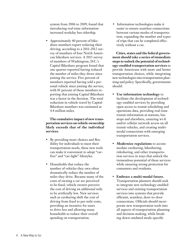system from 2006 to 2009, found that introducing real-time information increased weekday bus ridership.

• Approximately 40 percent of bikeshare members report reducing their driving, according to a 2011-2012 survey of members of four North American bikeshare services. A 2013 survey of members of Washington, D.C.'s Capital Bikeshare program found that one quarter reported having reduced the number of miles they drove since joining the service. Five percent of members reported having sold a personal vehicle since joining the service, with 81 percent of those members reporting that joining Capital Bikeshare was a factor in the decision. The total reduction in vehicle travel by Capital Bikeshare members was estimated at 4.4 million miles.

**The cumulative impact of new transportation services on vehicle ownership likely exceeds that of the individual services**.

- By providing more choices and flexibility for individuals to meet their transportation needs, these new tools can make it convenient to adopt "carfree" and "car-light" lifestyles.
- Households that reduce the number of vehicles they own often dramatically reduce the number of miles they drive. Because many of the costs of owning a car are perceived to be fixed, vehicle owners perceive the cost of driving an additional mile to be artificially low. New services such as carsharing shift the cost of driving from fixed to per-mile costs, providing an incentive for users to drive less and allowing many households to reduce their overall spending on transportation.

• Information technologies make it easier to ensure seamless connections between various modes of transportation, expanding the number and types of trips that can be completed effectively without a car.

**Cities, states and the federal government should take a series of immediate steps to unlock the potential of technology-enabled transportation services** to provide Americans with more and better transportation choices, while integrating new technologies into transportation planning and policy. Specifically, governments should:

- **Use information technology** to facilitate the development of technology-enabled services by providing open access to transit scheduling and operations data, providing real-time transit information at stations, bus stops and elsewhere, ensuring wi-fi and/or cellular network access on all transit vehicles, and creating multimodal connections with emerging transportation services.
- **Modernize regulations** to accommodate carsharing, bikesharing, ridesharing, and other transportation services in ways that unlock the tremendous potential of these services while ensuring strong protection for consumers and residents.
- **Embrace a multi-modal future.** Transportation planners should seek to integrate new technology-enabled services and existing transportation services into systems that provide efficient, seamless, door-to-door connections**.** Officials should incorporate new transportation tools into all aspects of transportation planning and decision-making, while breaking down outdated mode-specific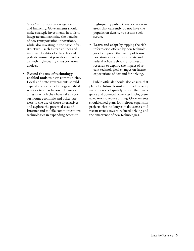"silos" in transportation agencies and financing. Governments should make strategic investments in tools to integrate and maximize the benefits of new transportation innovations, while also investing in the basic infrastructure—such as transit lines and improved facilities for bicycles and pedestrians—that provides individuals with high-quality transportation choices.

• **Extend the use of technologyenabled tools to new communities.**  Local and state governments should expand access to technology-enabled services to areas beyond the major cities in which they have taken root, surmount economic and other barriers to the use of those alternatives, and explore the potential uses of Internet and mobile communications technologies in expanding access to

high-quality public transportation in areas that currently do not have the population density to sustain such service.

• **Learn and adapt** by tapping the rich information offered by new technologies to improve the quality of transportation services. Local, state and federal officials should also invest in research to explore the impact of recent technological changes on future expectations of demand for driving.

Public officials should also ensure that plans for future transit and road capacity investments adequately reflect the emergence and potential of new technology-enabled tools to reduce driving. Governments should cancel plans for highway expansion projects that no longer make sense amid recent trends toward reduced driving and the emergence of new technologies.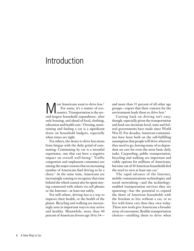# Introduction

**M** ost Americans want to drive less.<sup>2</sup><br>For some, it's a matter of eco-<br>nomics. Transportation is the sec-<br>and largest bousehold expenditure, after For some, it's a matter of economics. Transportation is the second-largest household expenditure, after only housing, and ahead of food, clothing, education and health care.3 Owning, maintaining and fueling a car is a significant drain on household budgets, especially when times are tight.

For others, the desire to drive less stems from fatigue with the daily grind of commuting. Commuting by car is a stressful experience, one that can have a negative impact on overall well-being.4 Traffic congestion and unpleasant commutes are among the major reasons that an increasing number of Americans find driving to be a chore.5 At the same time, Americans are increasingly coming to recognize that time behind the wheel cannot also be spent staying connected with others via cell phones or the Internet—at least not safely.

For still others, driving less is a way to improve their health, or the health of the planet. Bicycling and walking are increasingly seen as important ways to stay active and healthy. Meanwhile, more than 40 percent of American drivers age 18 to 34and more than 35 percent of all other age groups—report that their concern for the environment leads them to drive less.<sup>6</sup>

Cutting back on driving isn't easy, though, especially given the transportation and land-use decisions local, state and federal governments have made since World War II. For decades, American communities have been built on the self-fulfilling assumption that people will drive wherever they need to go, leaving many of us dependent on cars for even the most basic daily tasks. Carpooling, public transportation, bicycling and walking are important and viable options for millions of Americans, but nine out of 10 American households feel the need to own at least one car.<sup>7</sup>

The rapid advance of the Internet, mobile communications technologies and social networking—and the technologyenabled transportation services they are spawning—has the potential to expand the share of American households with the freedom to live without a car, or to live with fewer cars than they own today. These new tools give Americans a broader array of convenient, flexible transportation choices—enabling them to drive when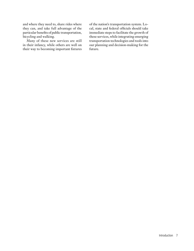and where they need to, share rides where they can, and take full advantage of the particular benefits of public transportation, bicycling and walking.

Many of these new services are still in their infancy, while others are well on their way to becoming important fixtures

of the nation's transportation system. Local, state and federal officials should take immediate steps to facilitate the growth of these services, while integrating emerging transportation technologies and tools into our planning and decision-making for the future.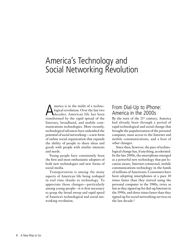# America's Technology and Social Networking Revolution

America is in the midst of a techno-<br>logical revolution. Over the last two<br>decades, American life has been<br>transformed by the rouid spreed of the logical revolution. Over the last two decades, American life has been transformed by the rapid spread of the Internet, broadband, and mobile communications technologies. More recently, technological advances have unleashed the potential of social networking—a new form of online social organization that expands the ability of people to share ideas and goods with people with similar interests and needs.

Young people have consistently been the first and most enthusiastic adopters of both new technologies and new forms of social media.

Transportation is among the many aspects of American life being reshaped in real time thanks to technology. To appreciate those changes—particularly among young people—it is first necessary to grasp the broad sweep and rapid speed of America's technological and social networking revolution.

# From Dial-Up to iPhone: America in the 2000s

By the turn of the  $21^{st}$  century, America had already been through a period of rapid technological and social change that brought the popularization of the personal computer, mass access to the Internet and mobile communications, and a host of other changes.

Since then, however, the pace of technological change has, if anything, accelerated. In the late 2000s, the smartphone emerged as a powerful new technology that put location-aware, Internet-connected, mobile communications technology in the hands of millions of Americans. Consumers have been adopting smartphones at a pace 10 times faster than they started using the personal computer in the 1980s, twice as fast as they signed up for dial-up Internet in the 1990s, and three times faster than they signed up for social networking services in the last decade.<sup>8</sup>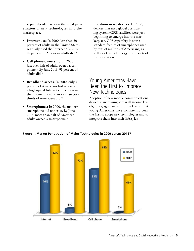The past decade has seen the rapid penetration of new technologies into the marketplace.

- **Internet use:** In 2000, less than 50 percent of adults in the United States regularly used the Internet.<sup>9</sup> By 2012, 82 percent of American adults did.10
- **Cell phone ownership:** In 2000, just over half of adults owned a cell phone.11 By June 2013, 91 percent of adults did.12
- **Broadband access:** In 2000, only 5 percent of Americans had access to a high-speed Internet connection in their home. By 2012, more than twothirds of Americans did.13
- **Smartphones:** In 2000, the modern smartphone did not exist. By June 2013, more than half of American adults owned a smartphone.14

• **Location-aware devices:** In 2000, devices that used global positioning system (GPS) satellites were just beginning to emerge into the marketplace. GPS capability is now a standard feature of smartphones used by tens of millions of Americans, as well as a key technology in all facets of transportation.<sup>15</sup>

# Young Americans Have Been the First to Embrace New Technologies

Adoption of new mobile communications devices is increasing across all income levels, races, ages, and education levels.17 But young Americans have consistently been the first to adopt new technologies and to integrate them into their lifestyles.



**Figure 1. Market Penetration of Major Technologies in 2000 versus 201216**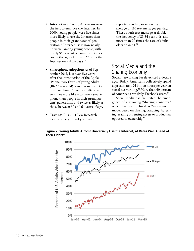- **Internet use:** Young Americans were the first to embrace the Internet. In 2000, young people were five times more likely to use the Internet than people in their grandparents' generation.18 Internet use is now nearly universal among young people, with nearly 95 percent of young adults between the ages of 18 and 29 using the Internet on a daily basis.19
- **Smartphone adoption:** As of September 2012, just over five years after the introduction of the Apple iPhone, two-thirds of young adults (18-29 years old) owned some variety of smartphone.20 Young adults were six times more likely to have a smartphone than people in their grandparents' generation, and twice as likely as those between 50 and 64 years of age.
- **Texting:** In a 2011 Pew Research Center survey, 18-24 year olds

reported sending or receiving an average of 110 text messages per day. These youth text message at double the frequency of 25-34 year olds, and more than 20 times the rate of adults older than 64.<sup>21</sup>

# Social Media and the Sharing Economy

Social networking barely existed a decade ago. Today, Americans collectively spend approximately 24 billion hours per year on social networking.<sup>23</sup> More than 40 percent of Americans are daily Facebook users.24

Social media has facilitated the emergence of a growing "sharing economy," which has been defined as "an economic model based on sharing, swapping, bartering, trading or renting access to products as opposed to ownership."25



**Figure 2: Young Adults Almost Universally Use the Internet, at Rates Well Ahead of Their Elders**<sup>22</sup>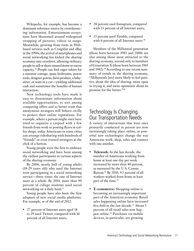Wikipedia, for example, has become a dominant reference source by crowdsourcing information. Entertainment ecosystems have blossomed around widespread swapping of pictures, videos or songs. Meanwhile, growing from roots in Webbased services such as Craigslist and eBay in the 1990s, the arrival of smartphones and social networking has kicked the sharing economy into overdrive, allowing ordinary people to sell or share unused items or excess capacity.26 People can find eager takers for a summer cottage, spare bedrooms, power tools, designer gowns, farm produce, a babysitter, or seats in a car—yielding additional cash and sometimes the benefits of human interaction.

New technology tools have made it easy to disseminate information about available opportunities, to sort among competing offers and to better trust that anonymous strangers will behave civilly to protect their online reputations. For example, where a person might once have tried to organize a carpool with a few friends from work or posting flyers in coffee shops, today Americans in some cities can arrange ridesharing with hundreds of "friends" or even trusted strangers at the click of a button.

Young people were the first to embrace social networking and have been among the earliest participants in various aspects of the sharing economy.

By 2006, nearly half of young adults (18-29 years old) who used the Internet were participating in a social networking service—three times the rate of Internet users as a whole. By 2010, more than 90 percent of college students used social networking on a daily basis.<sup>27</sup>

Young people have also been the first adopters of new social media platforms. For example, as of the end of 2012:

• 27 percent of Internet users aged 18 to 29 used Twitter, compared with 16 percent of all Internet users;

- 28 percent used Instagram, compared with 13 percent of all Internet users;
- 13 percent used Tumblr, compared with 6 percent of all Internet users.<sup>28</sup>

Members of the Millennial generation (those born between 1983 and 2000) are also among those most attracted to the sharing economy, second only to members of Generation X (those born between 1965 and 1982).<sup>29</sup> According to one recent summary of trends in the sharing economy, "Millennials [are] more likely to feel positive about the idea of sharing, more open to trying it, and more optimistic about its promise for the future."30

# Technology Is Changing Our Transportation Needs

A variety of interactions that were once primarily conducted in person are now increasingly taking place online, as powerful new technologies change the way Americans work, shop, relax and connect with one another.

- **Telework:** In the last decade, the number of Americans working from home at least one day per week increased by more than 40 percent, as measured by the U.S. Census Bureau.<sup>31</sup> By 2010, 9.5 percent of all workers worked from home at least part of the time.<sup>32</sup>
- **E-commerce:** Shopping online is becoming an increasingly important part of the American economy. Retail sales happening online have increased five-fold in the last decade.<sup>33</sup> About 5 percent of all retail sales now happen online.34 Purchases via mobile devices, in particular, are growing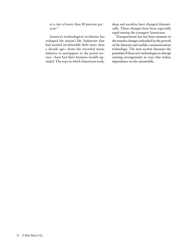at a rate of more than 80 percent per year.<sup>35</sup>

America's technological revolution has reshaped the nation's life. Industries that had seemed invulnerable little more than a decade ago—from the recorded music industry to newspapers to the postal service—have had their business models upended. The ways in which Americans work,

shop and socialize have changed dramatically. Those changes have been especially rapid among the youngest Americans.

Transportation has not been immune to the massive changes unleashed by the growth of the Internet and mobile communications technology. The next section discusses the potential of these new technologies to disrupt existing arrangements in ways that reduce dependence on the automobile.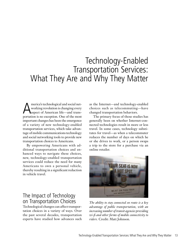# Technology-Enabled Transportation Services: What They Are and Why They Matter

America's technological and social net-<br>working revolution is changing every<br>aspect of American life—and transworking revolution is changing every aspect of American life—and transportation is no exception. One of the most important changes has been the emergence of a variety of new technology-enabled transportation services, which take advantage of mobile communications technology and social networking tools to provide new transportation choices to Americans.

By empowering Americans with additional transportation choices and enhanced ways to navigate these choices, new, technology-enabled transportation services could reduce the need for many Americans to own a personal vehicle, thereby resulting in a significant reduction in vehicle travel.

### The Impact of Technology on Transportation Choices

Technological changes can affect transportation choices in a variety of ways. Over the past several decades, transportation experts have studied how advances such as the Internet—and technology-enabled choices such as telecommuting—have changed transportation behaviors.

The primary focus of those studies has generally been on whether Internet-connected technologies result in more or less travel. In some cases, technology substitutes for travel—as when a telecommuter reduces the number of days on which he or she drives to work, or a person swaps a trip to the store for a purchase via an online retailer.



*The ability to stay connected en route is a key advantage of public transportation, with an increasing number of transit agencies providing wi-fi and other forms of mobile connectivity to riders.* Credit: Matt Johnson.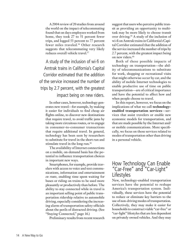A 2004 review of 20 studies from around the world on the impact of telecommuting found that on days employees worked from home, they took 27 to 51 percent fewer trips, and logged 53 percent to 77 percent fewer miles traveled.36 Other research suggests that telecommuting very likely reduces overall vehicle travel.37

A study of the inclusion of wi-fi on Amtrak trains in California's Capital Corridor estimated that the addition of the service increased the number of trips by 2.7 percent, with the greatest impact being on new riders.

In other cases, however, technology generates new travel—for example, by making it easier for individuals to find cheap air flights online, to discover new destinations that require travel, to avoid traffic jams by taking more circuitous routes, or to engage in consumer-to-consumer transactions that require additional travel. In general, technology has been seen by researchers to substitute for travel in the short run and stimulate travel in the long run.<sup>38</sup>

The availability of Internet connections on a mobile, on-demand basis has the potential to influence transportation choices in important new ways.

Smartphones, for example, provide travelers with access to voice and text communications, information and entertainment *en route*, enabling time spent waiting for buses or riding on trains to be used more pleasantly or productively than before. The ability to stay connected while in travel is an important selling point of public transportation ridership relative to automobile driving, especially considering the increasing alarm of transportation safety officials about the perils of distracted driving. (See "Staying Connected," page 16.)

Preliminary results from recent research

suggest that users who perceive public transit as providing an opportunity to multitask may be more likely to choose transit over driving.39 A study of the inclusion of wi-fi on Amtrak trains in California's Capital Corridor estimated that the addition of the service increased the number of trips by 2.7 percent, with the greatest impact being on new riders.<sup>40</sup>

Both of these possible impacts of technology on transportation—the ability of telecommunications to substitute for work, shopping or recreational visits that might otherwise occur by car, and the ability of mobile Internet technologies to enable productive use of time on public transportation—are of critical importance and have the potential to affect how and when people choose to travel.

In this report, however, we focus on the implications of what we call **technologyenabled transportation services**—services that assist travelers or enable new economic models for transportation, and that are made possible by the Internet and/ or mobile communications. More specifically, we focus on those services related to modes of transportation other than driving in a personal vehicle.

### How Technology Can Enable "Car-Free" and "Car-Light" **Lifestyles**

New, technology-enabled transportation services have the potential to reshape America's transportation system. Individually, these services have the potential to reduce or eliminate key barriers to the use of non-driving modes of transportation. Collectively, they may make it easier for households to construct viable "car-free" or "car-light" lifestyles that are less dependent on privately owned vehicles. And they may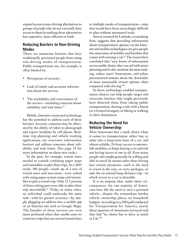expand access to non-driving alternatives to groups of people who do not currently have access to them by making those alternatives less expensive, more efficient or both.

#### **Reducing Barriers to Non-Driving Modes**

There are numerous barriers that have traditionally prevented people from using non-driving modes of transportation. Public transportation use, for example, is often limited by:

- Perceptions of security;
- Lack of timely and accurate information about the service;
- The availability and convenience of the service—including concerns about reliability and wait times.<sup>41</sup>

Mobile, Internet-connected technology has the potential to address each of these barriers. Security concerns may be alleviated by the ability of riders to photograph and report incidents by cell phone. Realtime trip planning and vehicle tracking applications can overcome information barriers and address concerns about reliability and wait times. (See page 24 for more information on these new tools.)

In the past, for example, transit users needed to consult confusing paper maps and timetables to plot their trips. In a 2005 study, 180 people—made up of a mix of transit users and non-users—were tasked with using paper system maps and timetables to plot a transit trip. Only 52.5 percent of those taking part were able to plan their trip successfully.42 Today, in many cities, an individual could undertake the same task—with far greater accuracy—by simply plugging an address into a mobile app or an Internet site such as Google Maps. The benefits of these services are even more profound when they enable users to construct trips that use several transit lines or multiple modes of transportation—trips that would have been exceedingly difficult to plan without automated tools.

Survey research by Latitude, a consulting firm, suggests that providing information about transportation options via the Internet and mobile technologies can give people the same sense of mobility and freedom that comes with owning a car.<sup>43</sup> The researchers concluded that "new forms of information access enable choice; they can aid with smart planning and in-the-moment decision-making, reduce users' frustrations, and soften preconceived notions about the downsides of more sustainable transit options when compared with driving."44

In short, technology-enabled transportation choices can help people target and overcome barriers that might previously have deterred them from taking public transportation, sharing a ride with a friend (or a trusted stranger), or biking or walking to their destination.

#### **Reducing the Need for Vehicle Ownership**

Most Americans face a stark choice when it comes to transportation: either buy or enter into a long-term lease of a car, and obtain reliable, 24-hour access to automobile mobility, or forgo buying a car and risk not having access to one at all. Even many people who might generally be willing and able to travel by means other than driving face certain situations—such as the need to travel in the rain, or carry packages, or take the occasional long-distance trip—in which access to a car is desirable.

It is no surprise that, under those circumstances, the vast majority of Americans have felt the need to own a personal vehicle—despite the tremendous burden vehicle ownership places on household budgets. According to a 2010 poll conducted for Transportation for America, nearly three-quarters of Americans surveyed said they had "no choice but to drive as much as  $I$  do." $45$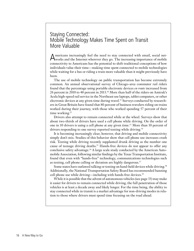### Staying Connected: Mobile Technology Makes Time Spent on Transit More Valuable

Americans increasingly feel the need to stay connected with email, social net-works and the Internet wherever they go. The increasing importance of mobile connectivity to Americans has the potential to shift traditional conceptions of how individuals value their time—making time spent connected to mobile technologies while waiting for a bus or riding a train more valuable than it might previously have been.

The use of mobile technology on public transportation has become extremely common. An annual observational survey of Chicago-area commuter rail riders found that the percentage using portable electronic devices *en route* increased from 26 percent in 2010 to 48 percent in 2013.50 More than half of the riders on Amtrak's Acela high-speed rail service in the Northeast use laptops, tablet computers, or other electronic devices at any given time during travel.<sup>51</sup> Surveys conducted by researchers in Great Britain have found that 80 percent of business travelers riding on trains worked during their journey, with those who worked spending 57 percent of their time working.<sup>52</sup>

Drivers also attempt to remain connected while at the wheel. Surveys show that about two-thirds of drivers have used a cell phone while driving. On the order of one in 10 drivers is using a cell phone at any given time.53 More than 10 percent of drivers responding to one survey reported texting while driving.<sup>54</sup>

It is becoming increasingly clear, however, that driving and mobile connectivity simply don't mix. Studies of this behavior show that cell phone use increases crash risk. Texting while driving recently supplanted drunk driving as the number one cause of teenage driving deaths.<sup>55</sup> Hands-free devices do not appear to offer any conclusive safety advantage.<sup>56</sup> A large scale study conducted by the American Automobile Association, following similar findings by the Texas Transportation Institute, found that even with "hands-free" technology, communications technologies such as texting, cell phone calling or dictation are highly dangerous.<sup>57</sup>

Some states have outlawed talking or texting on hand-held devices while driving.58 Additionally, the National Transportation Safety Board has recommended banning cell phone use while driving—including with hands-free devices.59

While it is possible that the advent of autonomous vehicles (see page 33) may make it easier for drivers to remain connected while driving, the full penetration of those vehicles is at least a decade away and likely longer. For the time being, the ability to stay connected while in transit is a market advantage for non-driving modes in relation to those where drivers must spend time focusing on the road ahead.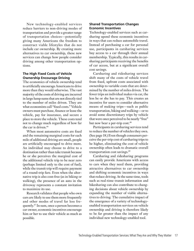New technology-enabled services reduce barriers to non-driving modes of transportation and provide a greater range of transportation choices—potentially giving many Americans the freedom to construct viable lifestyles that do not include car ownership. By creating more alternatives to car ownership, these new services can change how people consider driving among other transportation options.

#### **The High Fixed Costs of Vehicle Ownership Encourage Driving**

The economics of vehicle ownership tend to artificially encourage Americans to drive more than they would otherwise. The vast majority of the costs of driving are incurred in large lump sums that are not directly tied to the number of miles driven. They are what economists call "fixed costs." Vehicle owners must purchase, finance or lease the vehicle, pay for insurance, and secure a place to store the vehicle. These costs tend not to change much regardless of how far the car is driven.<sup>46</sup>

When most automotive costs are fixed and the remaining marginal costs for each mile of additional driving are small, people are artificially encouraged to drive more. An individual may choose to drive to a destination rather than take transit because he or she perceives the marginal cost of the additional vehicle trip to be near zero (perhaps limited only to the cost of fuel), while the transit trip will require payment of a round-trip fare. Even when the alternative trip is also cost-free (as in biking or walking), the presence of an auto in the driveway represents a constant invitation to maximize its use.

Research validates that people who own cars are likely to use them more frequently and other modes of travel far less frequently.47 In sum, once a person becomes a car owner, economic incentives encourage him or her to use their vehicle as much as possible.

#### **Shared Transportation Changes Economic Incentives**

Technology-enabled services such as carsharing upend these economic incentives in ways that can reduce automobile travel. Instead of purchasing a car for personal use, participants in carsharing services buy access to a car through their annual membership. Typically, this results in carsharing participants receiving the benefits of car access, but at a significant overall cost savings.

Carsharing and ridesharing services shift many of the costs of vehicle travel from fixed, upfront costs associated with ownership to variable costs that are determined by the number of miles driven. The fewer trips an individual makes via car, the less he or she has to pay. This creates an incentive for users to consider alternative means of making trips—such as public transportation, biking and walking—or to avoid some discretionary trips by vehicle that were once perceived to be nearly "free" but now bear a per-trip cost.<sup>48</sup>

Participants in carsharing services tend to reduce the number of vehicles they own. (See page 18.) Even though consumers perceive the per-trip cost of carsharing trips to be higher, eliminating the cost of vehicle ownership often leads to dramatic overall transportation cost savings.49

Carsharing and ridesharing programs can easily provide Americans with access to cars when they need them, providing attractive alternatives to car ownership and shifting economic incentives in ways that reduce driving. At the same time, tools such as real-time transit information and bikesharing can also contribute to changing decisions about vehicle ownership by expanding the number of viable alternatives to driving. The cumulative impact of the emergence of a variety of technologyenabled transportation services on vehicle ownership and driving is therefore likely to be far greater than the impact of any individual new technology-enabled tool.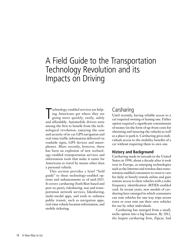# A Field Guide to the Transportation Technology Revolution and its Impacts on Driving

Technology-enabled services are help-<br>ing Americans get where they are<br>going more quickly, easily, safely<br>and affordably. Automobile drivers were echnology-enabled services are helping Americans get where they are going more quickly, easily, safely among the first to benefit from the technological revolution, enjoying the ease and security of in-car GPS navigation and real-time traffic information delivered via roadside signs, GPS devices and smartphones. More recently, however, there has been an explosion of new technology-enabled transportation services and information tools that make it easier for Americans to travel by means other than a personal vehicle.

This section provides a brief "field guide" to these technology-enabled options and enhancements as of mid-2013. It covers: carsharing (both fleet-based and peer-to-peer), ridesharing, taxi and transportation network services, bikesharing, multi-modal apps, and tools to enhance public transit, such as navigation apps, real-time vehicle location information, and mobile ticketing.

# Carsharing

Until recently, having reliable access to a car required owning or leasing one. Either option required a significant commitment of money (in the form of up-front costs for obtaining and insuring the vehicle) as well as a place to park it. Carsharing gives individuals access to the mobility benefits of a car without requiring them to own one.

#### **History and Background**

Carsharing made its inroads in the United States in 1998, about a decade after it took root in Europe, as emerging technologies such as the Internet and wireless data transmission enabled consumers to reserve cars for daily or hourly rentals online and gain remote access to their vehicles with a radio frequency identification (RFID)-enabled card. In recent years, new models of carsharing have emerged in which consumers can rent vehicles for one-way trips across town or even rent out their own vehicles for use by other individuals.

Carsharing has emerged from a small, niche option into a big business. By 2012, the largest carsharing firm, Zipcar, had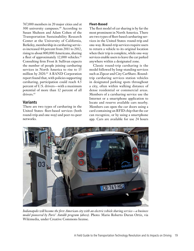767,000 members in 20 major cities and at  $300$  university campuses.<sup>60</sup> According to Susan Shaheen and Adam Cohen of the Transportation Sustainability Research Center at the University of California, Berkeley, membership in carsharing services increased 44 percent from 2011 to 2012, rising to about 800,000 Americans, sharing a fleet of approximately 12,000 vehicles.<sup>61</sup> Consulting firm Frost & Sullivan expects the number of people joining carsharing services in North America to rise to 15 million by 2020.62 A RAND Corporation report found that, with policies supporting carsharing, participation could reach 4.5 percent of U.S. drivers—with a maximum potential of more than 12 percent of all drivers.<sup>63</sup>

#### **Variants**

There are two types of carsharing in the United States: fleet-based services (both round-trip and one-way) and peer-to-peer networks.

#### **Fleet-Based**

The fleet model of car sharing is by far the most prominent in North America. There are two types of fleet-based carsharing services in the United States: round-trip and one-way. Round-trip services require users to return a vehicle to its original location when their trip is complete, while one-way services enable users to leave the car parked anywhere within a designated zone.

Classic round-trip carsharing is the model followed by long-standing services such as Zipcar and City CarShare. Roundtrip carsharing services station vehicles in designated parking spots throughout a city, often within walking distance of dense residential or commercial areas. Members of a carsharing service use the Internet or a smartphone application to locate and reserve available cars nearby. Members can open the car doors using a card containing an RFID chip that the car can recognize, or by using a smartphone app. Cars are available for use 24 hours



*Indianapolis will become the first American city with an electric vehicle sharing service—a business model pioneered by Paris' Autolib program (above).* Photo: Mario Roberto Duran Ortiz, via Wikimedia, under Creative Commons license.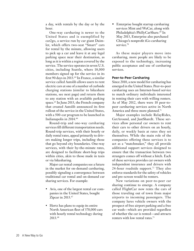a day, with rentals by the day or by the hour.

One-way carsharing is newer to the United States and is exemplified by car2go, a service run by car giant Daimler, which offers two-seat "Smart" cars for rental by the minute, allowing users to pick up a car and leave it at any legal parking space near their destination, as long as it is within a region covered by the service. The service operates in seven U.S. cities, including Seattle, where 18,000 members signed up for the service in its first 90 days in 2013.64 In France, a similar service called Autolib allows users to rent electric cars at one of a number of curbside charging stations (similar to bikeshare stations, see next page) and return them to any station with an available parking space.<sup>65</sup> In June 2013, the French company that created Autolib announced its first rollout of the service in the United States, with a 500-car program to be launched in Indianapolis in 2014.66

Round-trip and one-way carsharing services fill different transportation needs. Round-trip services, with their hourly or daily rental rates, appeal primarily to drivers making longer trips, including those that go beyond city boundaries. One-way services, with their by-the-minute rates, are designed to facilitate short-hop trips within cities, akin to those made in taxis or via bikesharing.

Major car rental companies see a future in the market for on-demand carsharing, possibly signaling a convergence between traditional car rental and on-demand car sharing services. For example:

- Avis, one of the largest rental car companies in the United States, bought Zipcar in 2013.<sup>67</sup>
- Hertz has plans to equip its entire North American fleet of 370,000 cars with hourly rental technology during 2013.68

• Enterprise bought startup carsharing services Mint and WeCar, along with Philadelphia's PhillyCarShare.<sup>69</sup> In May 2013, Enterprise also purchased Chicago's nonprofit iGo carsharing service.<sup>70</sup>

As these major players move into carsharing, more people are likely to be exposed to the technology, increasing public acceptance and use of carsharing services.

#### **Peer-to-Peer Carsharing**

Since 2010, a new model for carsharing has emerged in the United States. Peer-to-peer carsharing uses an Internet-based service to match ordinary individuals interested in renting their cars with willing renters. As of May 2012, there were 10 peer-topeer carsharing services active in North America and three more planned.<sup>71</sup>

Major examples include RelayRides, GetAround, and JustShareIt. These services allow personal car owners to rent their cars to other drivers on an hourly, daily, or weekly basis at rates they set themselves. While the main role of the companies offering these services is to act as a "matchmaker," they all provide additional support services designed to ensure that the transaction between two strangers comes off without a hitch. Each of these services provides car owners with independent insurance and drivers with 24-hour roadside support.<sup>72</sup> They also enforce standards for the safety of vehicles and pre-screen would-be renters.

New variations on peer-to-peer car sharing continue to emerge. A company called FlightCar now rents the cars of those traveling out of town from major airports to incoming passengers. The company lures vehicle owners with the prospect of free airport parking and a free car wash—which are provided regardless of whether the car is rented—and attracts renters with low rental rates.73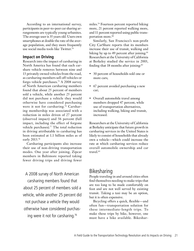According to an international survey, participants in peer-to-peer car sharing arrangements are typically young urbanites. The average user is 35 years old. Users own smartphones at double the rate of the average population, and they more frequently use social media tools like Twitter.<sup>74</sup>

#### **Impact on Driving**

Research into the impact of carsharing in North America has found that each carshare vehicle removes between nine and 13 privately owned vehicles from the road, as carsharing members sell off vehicles or forgo vehicle purchases.75 A 2008 survey of North American carsharing members found that about 25 percent of members sold a vehicle, while another 25 percent did not purchase a vehicle they would otherwise have considered purchasing were it not for carsharing.<sup>76</sup> Carsharing membership was associated with a reduction in miles driven of 27 percent (observed impact) and 56 percent (full impact, including the effect of forgone vehicle purchases).<sup>77</sup> The total reduction in driving attributable to carsharing has been estimated at 1.1 billion miles as of early 2013.78

Carsharing participants also increase their use of non-driving transportation modes. One year after joining, Zipcar members in Baltimore reported taking fewer driving trips and driving fewer

A 2008 survey of North American carsharing members found that about 25 percent of members sold a vehicle, while another 25 percent did not purchase a vehicle they would otherwise have considered purchasing were it not for carsharing.76

miles.79 Fourteen percent reported biking more, 21 percent reported walking more, and 11 percent reported using public transportation more.<sup>80</sup>

Similarly, San Francisco's non-profit City CarShare reports that its members increase their use of transit, walking and biking by up to 49 percent after joining.<sup>81</sup> Researchers at the University of California at Berkeley studied the service in 2003, finding that 18 months after joining: $82$ 

- 30 percent of households sold one or more cars;
- 67 percent avoided purchasing a new car;
- Overall automobile travel among members dropped 47 percent, while use of transportation alternatives, including walking, biking and transit, increased.

Researchers at the University of California at Berkeley anticipate that future growth in carsharing services in the United States is likely to consist of households that already own a vehicle—which could increase the rate at which carsharing services reduce overall automobile ownership and car travel.<sup>83</sup>

### Bikesharing

People traveling in and around cities often find themselves needing to make trips that are too long to be made comfortably on foot and are not well served by existing transit. Taking a taxi may be an option, but it is often expensive.

Bicycling offers a quick, flexible—and often fun—transportation solution for these intermediate-length trips. To make these trips by bike, however, one must have a bike available. Bikeshar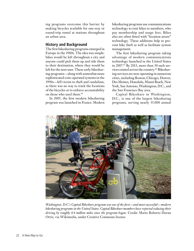ing programs overcome this barrier by making bicycles available for one-way or round-trip rental at stations throughout an urban area.

#### **History and Background**

The first bikesharing programs emerged in Europe in the 1960s. The idea was simple: bikes would be left throughout a city and anyone could pick them up and ride them to their destination, where they would be left for the next user. These early bikesharing programs—along with somewhat more sophisticated coin-operated systems in the 1990s—fell victim to theft and vandalism, as there was no way to track the locations of the bicycles or to enforce accountability on those who used them.<sup>84</sup>

In 2005, the first modern bikesharing program was launched in France. Modern

bikesharing programs use communications technology to rent bikes to members, who pay membership and usage fees. Bikes also are often fitted with "location aware" technology. These additions help to prevent bike theft as well as facilitate system management.

The first bikesharing program taking advantage of modern communications technology launched in the United States in 2007.<sup>85</sup> By 2013, more than 30 such services existed across the country.86 Bikesharing services are now operating in numerous cities, including Boston, Chicago, Denver, Des Moines, Honolulu, Miami Beach, New York, San Antonio, Washington, D.C., and the San Francisco Bay area.

Capital Bikeshare in Washington, D.C., is one of the largest bikesharing programs, serving nearly 35,000 annual



*Washington, D.C.'s Capital Bikeshare program was one of the first—and most successful—modern bikesharing programs in the United States. Capital Bikeshare members have reported reducing their driving by roughly 4.4 million miles since the program began.* Credit: Mario Roberto Duran Ortiz, via Wikimedia, under Creative Commons license.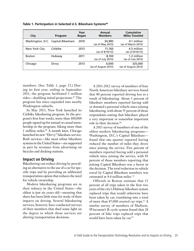| City          | Program                            | Year<br><b>Began</b> | Annual<br><b>Members</b>     | <b>Cumulative</b><br><b>Miles Traveled</b> |
|---------------|------------------------------------|----------------------|------------------------------|--------------------------------------------|
|               | Washington, D.C. Capital Bikeshare | 2010                 | 34,985<br>(as of May 2013)   | 4.1 million<br>(as of March 2013)          |
| New York City | Citibike                           | 2013                 | 71,760<br>(as of 8/16/13)    | 4.5 million<br>(as of 8/16/13)             |
| <b>Boston</b> | Hubway                             | 2011                 | 8,100<br>(as of July 2013)   | 1.2 million<br>(as of July 2013)           |
| Chicago       | Divvy                              | 2013                 | 4,000<br>(as of August 2013) | 325,000<br>(as of August 2013)             |

Table 1. Participation in Selected U.S. Bikeshare Systems<sup>89</sup>

members. (See Table 1, page 23.) During its first year, ending in September 2011, the program facilitated 1 million rides—doubling initial projections.<sup>87</sup> The program has since expanded into nearby Washington suburbs.

In May 2013, New York launched its Citibike bikesharing program. In the program's first four weeks, more than 100,000 people signed up for annual or casual membership in the program, biking more than 1 million miles.88 A month later, Chicago launched its new "Divvy" bikeshare service. Both services—like most urban bikeshare systems in the United States—are supported in part by revenues from advertising on bicycles and docking stations.

#### **Impact on Driving**

Bikesharing can reduce driving by providing an alternative to the use of a car for specific trips and by providing an additional transportation option that reduces the need for vehicle ownership.

Modern bikesharing programs are in their infancy in the United States—the oldest is just six years old—meaning that there has been little time for study of their impacts on driving. Several bikesharing services, however, have conducted surveys of their members that shed some light on the degree to which those services are altering transportation decisions.

A 2011-2012 survey of members of four North American bikeshare services found that 40 percent reported driving less as a result of bikesharing. About 5 percent of bikeshare members reported having sold or donated a personal vehicle since joining bikesharing, with about 55 percent of those respondents stating that bikeshare played a very important or somewhat important role in their decision.<sup>90</sup>

A 2013 survey of members of one of the oldest modern bikesharing programs— Washington, D.C.'s Capital Bikeshare found that one quarter reported having reduced the number of miles they drove since joining the service. Five percent of members reported having sold a personal vehicle since joining the service, with 81 percent of those members reporting that joining Capital Bikeshare was a factor in the decision. The total reduction in vehicle travel by Capital Bikeshare members was estimated at 4.4 million miles. 91

Officials in Boston estimate that 13 percent of all trips taken in the first two years of the city's Hubway bikeshare system replaced trips that would otherwise have been taken by car, translating into a total of more than 87,000 averted car trips.<sup>92</sup> A similar survey of members of Madison, Wisconsin's B-cycle system found that 28 percent of bike trips replaced trips that would have been taken by car.<sup>93</sup>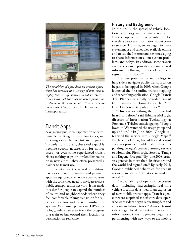

*The provision of open data on transit operations has resulted in a variety of new tools to supply transit information to riders. Here, a screen with real-time bus arrival information is shown in the window of a Seattle department store.* Credit: Seattle Department of Transportation

### Transit Apps

Navigating public transportation once required consulting maps and timetables, and carrying exact change, tokens or passes. To daily transit users, these tasks quickly became second nature. But for novice users—or even some experienced transit riders making trips on unfamiliar routes or in new cities—they often presented a barrier to transit use.

In recent years, the arrival of real-time navigation, route planning and payment apps has equipped even novice transit users with the tools they need to navigate a city's public transportation network. It has made it easier for people to expand the number of routes and neighborhoods where they feel comfortable taking transit, or for rail riders to explore and learn unfamiliar bus systems. With smartphones and GPS technology, riders can even track the progress of a train or bus toward their location or destination in real time.

#### **History and Background**

In the 1990s, the spread of vehicle location technology and the emergence of the Internet opened up new possibilities for travelers to access information about transit service. Transit agencies began to make system maps and schedules available online and to use the Internet and text messaging to share information about system problems and delays. In addition, some transit agencies began to provide real-time arrival information through the use of electronic signs at transit stops.<sup>94</sup>

The true potential of technology to help riders navigate public transportation began to be tapped in 2005, when Google launched the first online transit mapping and scheduling application. Google Transit Trip Planner originally provided transit trip planning functionality for the Portland, Oregon metropolitan area.<sup>95</sup>

"This was something that no one had heard of before," said Bibiana McHugh, director of Information Technology at Portland's TriMet transit agency. "People loved it. We watched the usage go up and up and up."96 In June 2006, Google integrated the service into Google Maps.<sup>97</sup> By the end of 2006, five additional transit agencies provided usable data online, expanding Google's transit planning service to Honolulu, Pittsburgh, Seattle, Tampa and Eugene, Oregon.<sup>98</sup> By June 2008, transit agencies in more than 50 cities around the world had signed on.<sup>99</sup> By early 2013, Google published schedules for transit services in about 500 cities around the world.100

The availability of open-source transit data—including, increasingly, real-time vehicle location data—led to an explosion of new mobile transit apps. Transit agencies were surprised as software developers who were riders began requesting data and creating web-based tools.101 As more transit riders began to take advantage of real-time information, transit agencies began experimenting with new ways to use mobile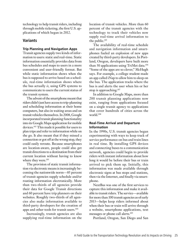technology to help transit riders, including through mobile ticketing, the first U.S. applications of which began in 2012.

#### **Variants**

#### **Trip Planning and Navigation Apps**

Transit agencies supply two kinds of information to users: static and real-time. Static information essentially provides data from bus schedules and maps to users in a more convenient and user-friendly format. But while static information shows when the bus is supposed to arrive based on a schedule, real-time information shows where the bus actually *is*, using GPS systems to communicate to users the current status of the transit system.

The advent of the smartphone meant that riders didn't just have access to trip-planning and scheduling information at their home computers, but also in waiting areas and on transit vehicles themselves. In 2008, Google incorporated transit planning functionality into its Google Maps application for mobile devices.102 This made it possible for users to plan trips and refer to information while on the go. It also meant that if they missed a connection or got off at the wrong stop, they could easily reroute. Because smartphones are location-aware, people could also get transit directions to a destination from their current location without having to know where they were.<sup>103</sup>

The provision of static transit information via electronic means is increasingly becoming the nationwide norm—85 percent of transit agencies supply schedule and/or routing information electronically. More than two-thirds of all agencies provide their data for Google Transit directions and 60 percent have trip planners on their websites. Roughly two-thirds of all agencies also make information available to third-party developers for the creation of apps and other tools for transit users.104

Increasingly, transit agencies are also supplying real-time information on the

location of transit vehicles. More than 60 percent of the transit agencies with the technology to track their vehicles now supply real-time arrival information to the public.105

The availability of real-time schedule and navigation information and smartphones fueled an explosion of new apps created by third-party developers. In Portland, Oregon, developers have built more than 50 applications using TriMet data.<sup>106</sup> "Some of the apps are so clever," McHugh says. For example, a college student made an app called iNap to allow him to sleep on the bus. The application tracks where the bus is and alerts the user when his or her stop is approaching.<sup>107</sup>

In addition to Google Maps, more than 200 transit planning applications now exist, ranging from applications focused on a single transit agency to applications that cover hundreds of cities across the world.108

#### **Real-Time Arrival and Departure Information**

In the 1990s, U.S. transit agencies began experimenting with ways to keep track of service performance on bus and train lines in real time. By installing GPS devices and connecting buses to a communication network, agencies could begin to provide riders with instant information about how long it would be before their bus or train arrived to pick them up. Initially, this information was made available through electronic signs at bus stops and stations, then via the Internet, and finally via smartphone.

NextBus was one of the first services to capture this information and make it available to transit riders. The service—available for more than 100 transit agencies as of early 2013—helps keep riders informed about when their bus or train will arrive through a website, smartphone applications, text messages or phone call alerts.109

Portland, Oregon, San Diego and San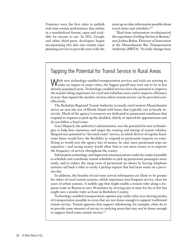Francisco were the first cities to publish real-time system performance data online in a standardized format, open and available for anyone to use. In 2011, Google and other third-party developers began incorporating this data into transit route planning services to provide users with the most up-to-date information possible about travel times and schedules.<sup>110</sup>

"Real-time information revolutionized the experience of riding the bus in Boston," says Joshua Robin, Director of Innovation at the Massachusetts Bay Transportation Authority (MBTA). "It really changes how

# Tapping the Potential for Transit Service in Rural Areas

While new technology-enabled transportation services and tools are starting to make an impact in major cities, the biggest payoff may turn out to be in less densely populated areas. Technology-enabled services have the potential to improve the transit-riding experience for rural and suburban users and to improve efficiency in ways that expand the number of areas where transit service can be provided costeffectively.

The Berkshire Regional Transit Authority in mostly rural western Massachusetts serves an area the size of Rhode Island with buses that typically run at hourly intervals. Much of the agency's resources are dedicated to paratransit minibuses that respond to requests to pick up the disabled, elderly or injured for appointments and do not follow a fixed route.

Gary Shepard, the authority's administrator, sees the potential for new technologies to help him customize and target the routing and timing of transit vehicles. Shepard sees potential in "deviated route" service, in which drivers of regular fixedroute buses would have the flexibility to respond to paratransit requests en route. Doing so would save the agency lots of money, he said, since paratransit trips are expensive—and saving money would allow him to run more routes or to improve the frequency of service throughout the county.

Information technology and improved communications could also make it possible to schedule and coordinate transit schedules to pick up paratransit passengers more easily, and to reduce the steep costs of paratransit no-shows by having telephone systems call back a rider to verify a pickup request that had been made on a previous day.

In addition, the benefits of real-time arrival information are likely to be greater for riders of rural transit systems, which experience less-frequent service, than for users of urban systems. A mobile app that might enable a transit rider along a frequent route in Boston to save 10 minutes by arriving just in time for his or her bus might save a similar rider an hour in Berkshire County.

Technology-enabled transportation options may make other non-driving modes of transportation possible in areas that are not dense enough to support traditional transit service. Transit agencies that support ridesharing, for example, often do so to provide some measure of service to outlying areas that may not be dense enough to support fixed-route transit service.<sup>115</sup>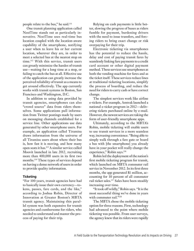people relate to the bus," he said.111

One transit planning application called NextTime stands out as particularly innovative. NextTime uses real-time bus location coupled with the location-aware capability of the smartphone, notifying a user when to leave his or her current location, wherever they are, in order to meet a selected bus at the nearest stop on time.112 With this service, transit users can greatly minimize the hassles of transit use—waiting for a long time at a stop, or failing to catch the bus at all. Effective use of the application can greatly increase the perceived reliability of transit as a means to get around effectively. The app currently works with transit systems in Boston, San Francisco and Washington, D.C.

In addition to using data provided by transit agencies, smartphones can also "crowd source" data from riders themselves. Some applications pull information from Twitter postings made by users on messaging channels established for a service line. Other applications use data generated by other smartphone users. For example, an application called Tiramisu draws information from the universe of all Tiramisu users about where their bus is, how fast it is moving, and how many open seats it has.113 A similar service called Moovit launched in late 2012, recruiting more than 400,000 users in its first two months.114 These types of services depend on having a dense network of users in order to provide quality information.

#### **Ticketing**

"For 100 years, transit agencies have had to basically issue their own currency—tokens, passes, fare cards, and the like," according to Joshua Robin, Director of Innovation at Greater Boston's MBTA transit agency. Maintaining this parallel system was both expensive for transit agencies and cumbersome for riders, who needed to understand and master the process of paying for their trip.

Relying on cash payments is little better, slowing the progress of buses as riders fumble for payment, burdening drivers with the need to issue transfers, and forcing riders to bring exact change or risk overpaying for their trip.

Electronic ticketing via smartphones has the potential to reduce the hassle, delay and cost of paying transit fares by seamlessly linking fare payments to a credit card account or other digital payment method. These services use smartphones as both the vending machine for fares and as the ticket itself. These services reduce lines at traditional ticketing locations, simplify the process of boarding, and reduce the need for riders to carry cash or have correct change.

The simplest services work like airline e-tickets. For example, Amtrak launched a national e-ticket program in 2012—delivering tickets purchased online by e-mail. However, the newest services are taking the form of user-friendly smartphone apps.

Ultimately, according to the MBTA's Robin, mobile ticketing will enable users to use transit services in a more seamless way, increasing convenience. "Being able to simply walk through a fare gate or board a bus with [the smartphone] you already have in your pocket will really change the experience," Robin says.<sup>116</sup>

Robin led the deployment of the nation's first mobile ticketing program for transit, which launched on MBTA commuter rail service in November 2012. In its first three months, the app generated \$1 million, accounting for 10 percent of all commuter rail ticket sales.117 Sales have been steadily increasing over time.

"It took off wildly," Robin says. "It is the most successful thing we've done in years with commuter rail."<sup>118</sup>

The MBTA chose the mobile ticketing option for three reasons. First, technology had advanced to the point where mobile ticketing was possible. From user surveys, the agency knew that its riders were rapidly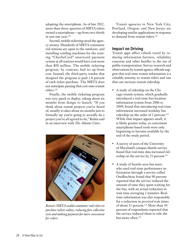adopting the smartphone. As of late 2012, more than three-quarters of MBTA riders owned a smartphone—up from two-thirds in just one year.<sup>119</sup>

Second, mobile ticketing saved the agency money. Hundreds of MBTA commuter rail stations are open to the outdoors, and installing vending machines for the existing "CharlieCard" smartcard payment system at all stations would have cost more than \$50 million. The mobile ticketing program, by contrast, had no up-front cost. Instead, the third-party vendor that designed the program is paid 2.8 percent of each ticket purchase. The MBTA does not anticipate passing that cost onto transit riders.120

Finally, the mobile ticketing program was very quick to deploy, taking about six months from design to launch. "If you think about transit projects you've heard of, usually it takes about six months just to formally say you're going to actually do a project you've all agreed to do," Robin said in an interview with *The Atlantic Cities*.



*Boston's MBTA enables commuter rail riders to purchase tickets online, reducing fare collection costs and making payment far more convenient for riders.*

Transit agencies in New York City, Portland, Oregon, and New Jersey are developing similar applications in response to demand from transit riders.<sup>121</sup>

#### **Impact on Driving**

Transit apps affect vehicle travel by reducing information barriers, reliability concerns and other hurdles to the use of public transportation. Survey research and observations by transit agency officials suggest that real-time transit information is a valuable amenity to transit riders and one that can increase transit ridership.

- A study of ridership on the Chicago transit system, which gradually introduced a real-time bus location information system from 2006 to 2009, found that introducing real-time information increased weekday bus ridership on the order of 2 percent.<sup>122</sup> While that impact appears small, it is likely greater today, as convenient smartphone-based tools were only beginning to become available by the end of the study period.
- A survey of users of the University of Maryland's campus shuttle service found that real-time data increased ridership on the service by 23 percent.<sup>123</sup>
- A study of Seattle-area bus users who used real-time performance information through a service called OneBusAway found that 90 percent reported that the service reduced the amount of time they spent waiting for the bus, with an actual reduction in wait time averaging 2 minutes. Realtime information was also responsible for a reduction in *perceived* wait times of about 13 percent.<sup>124</sup> More than 30 percent of respondents reported that the service induced them to ride the bus more often.<sup>125</sup>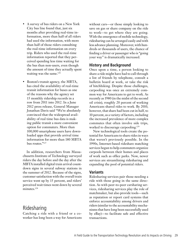- A survey of bus riders on a New York City bus line found that, just six months after providing real-time information, more than half of all riders had used the information, with more than half of those riders consulting the real-time information on every trip. Riders who used the real-time information reported that they perceived spending less time waiting for the bus than non-users, even though the amount of time they actually spent waiting was the same.<sup>126</sup>
- Boston's transit agency, the MBTA, has cited the availability of real-time transit information for buses as one of the reasons why the agency set 15 monthly ridership records in a row from 2011 into 2012. In a June 2012 press release, General Manager Jonathan Davis said "We're absolutely convinced that the widespread availability of real time bus data is making public transit a more convenient option for commuters. More than 100,000 smartphone users have downloaded apps that provide arrival time information for more than 180 MBTA bus routes."127

In addition, researchers from Massachusetts Institute of Technology surveyed riders the day before and the day after the MBTA installed digital train arrival countdown signs in several subway stations in the summer of 2012. Because of the signs, customer satisfaction with the overall train service went up by 15 percent, and riders' perceived wait times went down by several minutes.<sup>128</sup>

#### Ridesharing

Catching a ride with a friend or a coworker has long been a way for Americans without cars—or those simply looking to save on gas or share company on the ride to work—to get where they are going. With the emergence of mobile technology, ridesharing can be arranged easily and with less advance planning. Moreover, with hundreds or thousands of users, the chance of finding a driver or passenger who is "going your way" is dramatically increased.

#### **History and Background**

Once upon a time, a person looking to share a ride might have had to call through a list of friends by telephone, consult a bulletin board at work, or take the risk of hitchhiking. Despite those challenges, carpooling was once an extremely common way for Americans to get to work. As recently as 1980 (in the midst of the second oil crisis), roughly 20 percent of working Americans shared rides to work. By 2010, however, that share had been cut in half, to 10 percent, as a variety of factors, including the increased prevalence of more complex commutes that often involve side trips, worked to discourage carpooling.<sup>129</sup>

New technological tools create the potential for Americans to share rides in ways that weren't previously possible. In the 1990s, Internet-based rideshare matching services began to help commuters organize carpools between their homes and places of work such as office parks. Now, newer services are streamlining ridesharing and expanding the pool of potential riders.

#### **Variants**

Ridesharing services pair those needing a ride with those going in the same direction. As with peer-to-peer carsharing services, ridesharing services play the role of matchmaker, but also provide tools—such as reputation or report card systems that enforce accountability among drivers and riders (similar to the accountability mechanisms that have long been successfully used by eBay)—to facilitate safe and effective transactions.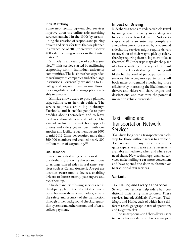#### **Ride Matching**

Some new technology-enabled services improve upon the online ride matching services launched in the 1990s by streamlining the creation of carpools and pairing drivers and riders for trips that are planned in advance. As of 2011, there were just over 400 ride matching services in the United States.<sup>130</sup>

Zimride is an example of such a service.131 This service started by facilitating carpooling within individual university communities. The business then expanded to working with companies and other large institutions—eventually expanding to 130 college and corporate campuses—followed by a long-distance ridesharing option available to anyone.132

Zimride allows users to post a planned trip, selling seats in their vehicle. The service requires users to log in through Facebook, and it enables people to post profiles about themselves and to leave feedback about drivers and riders. The Zimride website and smartphone app help drivers and riders get in touch with one another and facilitate payment. From 2007 to mid-2012, Zimride recruited more than 360,000 members and enabled nearly 200 million miles of carpooling.<sup>133</sup>

#### **On-Demand**

On-demand ridesharing is the newest form of ridesharing, allowing drivers and riders to arrange shared rides in real time. Services such as Carma (formerly Avego) use location-aware mobile devices, enabling drivers to locate nearby passengers and pick them up.

On-demand ridesharing services act as third-party platforms to facilitate connections between drivers and riders, ensure the safety and security of the transaction through driver background checks, reputation systems and other means, and often to collect payment.

#### **Impact on Driving**

Ridesharing tends to reduce vehicle travel by using spare capacity in existing vehicles to serve travel demand. Not every trip shared is an auto trip completely avoided—some trips served by on-demand ridesharing services might require drivers to travel out of their way to pick up riders, thereby requiring them to log more miles at the wheel.134 Other trips may take the place of a bus or walking. The key determinant of the impact of ridesharing on driving will likely be the level of participation in the services. Attracting more participants will both make on-demand ridesharing more efficient (by increasing the likelihood that drivers and riders will share origins and destinations) and maximize the potential impact on vehicle ownership.

# Taxi Hailing and Transportation Network Services

Taxis have long been a transportation backstop for those without access to a vehicle. Taxi service in many cities, however, is quite expensive and taxis aren't necessarily available immediately when and where you need them. New technology-enabled services make hailing a car more convenient and have opened the door to alternatives to traditional taxi services.

#### **Variants**

#### **Taxi Hailing and Livery Car Services**

Several new services help riders hail traditional taxis using smartphones. These services include ZabKab, Flywheel, Taxi-Magic and Hailo, each of which has a different reach, geographic area of operation, and target market.

The smartphone app Uber allows users to have a livery sedan and driver come pick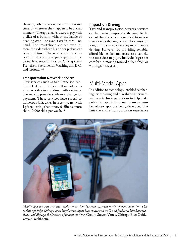them up, either at a designated location and time, or wherever they happen to be at that moment. The app enables users to pay with a click of a button, without the hassle of needing cash—or even a credit card—on hand. The smartphone app can even inform the rider where his or her pickup car is in real time. The service also recruits traditional taxi cabs to participate in some cities. It operates in Boston, Chicago, San Francisco, Sacramento, Washington, D.C. and Toronto.135

#### **Transportation Network Services**

New services such as San Francisco-centered Lyft and Sidecar allow riders to arrange rides in real-time with ordinary drivers who provide a ride in exchange for payment. These services have spread to numerous U.S. cities in recent years, with Lyft reporting that it now facilitates more than 30,000 rides per week.<sup>136</sup>

#### **Impact on Driving**

Taxi and transportation network services can have mixed impacts on driving. To the extent that the services are used to substitute for trips that might occur by transit, on foot, or in a shared ride, they may increase driving. However, by providing reliable, affordable on-demand access to a vehicle, these services may give individuals greater comfort in moving toward a "car-free" or "car-light" lifestyle.

# Multi-Modal Apps

In addition to technology-enabled carsharing, ridesharing and bikesharing services, and new technology options to help make public transportation easier to use, a number of new apps are being developed that knit the entire transportation experience



*Mobile apps can help travelers make connections between different modes of transportation. This mobile app helps Chicago-area bicyclists navigate bike routes and trails and find local bikeshare stations, and displays the location of transit stations.* Credit: Steven Vance, Chicago Bike Guide, www.bikechi.com.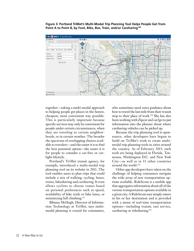**Figure 3: Portland TriMet's Multi-Modal Trip Planning Tool Helps People Get from Point A to Point B, by Foot, Bike, Bus, Train, and/or Carsharing140**



together—taking a multi-modal approach to helping people get places in the fastest, cheapest, most convenient way possible. This is particularly important because specific services may only be convenient for people under certain circumstances, when they are traveling to certain neighborhoods, or in certain weather. The broader the spectrum of overlapping choices available to travelers—and the easier it is to find the best potential option—the easier it is for people to consider a car-free or carlight lifestyle.

Portland's TriMet transit agency, for example, introduced a multi-modal trip planning tool on its website in 2011. The tool enables users to plan trips that could include a mix of walking, cycling, buses, trains, bikesharing and carsharing. It even allows cyclists to choose routes based on personal preferences such as speed, availability of bike trails or bike lanes, or minimizing hill climbing.<sup>137</sup>

Bibiana McHugh, Director of Information Technology at TriMet, says multimodal planning is crucial for commuters, who sometimes need extra guidance about how to travel the last mile from their transit stop to their place of work.138 She has also been working with Zipcar and car2go to put information into the planner about where carsharing vehicles can be picked up.

Because the trip planning tool is opensource, other developers have begun to build on TriMet's work to create multimodal trip planning tools in cities around the country. As of February 2013, such tools are being deployed in Florida, Tennessee, Washington D.C. and New York City—as well as in 11 other countries around the world.<sup>139</sup>

Other app developers have taken on the challenge of helping consumers navigate the wide array of new transportation options available. RideScout is a mobile app that aggregates information about all of the various transportation options available in a given city. A RideScout user simply enters in his or her destination and is provided with a menu of real-time transportation options—including transit, taxi service, carsharing or ridesharing.<sup>141</sup>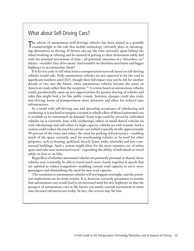# What about Self-Driving Cars?

T he advent of autonomous (self-driving) vehicles has been touted as a possible counterweight to the role that mobile technology currently plays in encouraging alternatives to driving. If drivers can use the time currently spent behind the wheel working or relaxing and be assured of getting to their destination safely and with the minimal investment of time—all potential outcomes of a "driverless car" future—wouldn't they drive more? And wouldn't we therefore need more and bigger highways to accommodate them?

It is far too early to tell what form a transportation network based on self-driving vehicles would take. Fully autonomous vehicles are not expected to hit the road in significant numbers until 2025, though their full impact may not be felt for another decade or two into the future, when autonomous vehicles become the norm on American roads rather than the exception.<sup>142</sup> A system based on autonomous vehicles could, paradoxically, open up new opportunities for greater sharing of vehicles and rides that might look a lot like public transit. Systemic changes could also make non-driving forms of transportation more attractive and allow for reduced auto infrastructure.

In a world with self-driving cars and spreading acceptance of ridesharing and carsharing, it is not hard to imagine a system in which a fleet of shared automated cars is available to be summoned on demand. Some trips could be served by individual vehicles (as is currently done with carsharing), others in small shared vehicles (as with ridesharing) and still others by high-capacity vehicles (as with transit). Such a system could reduce the need for private cars (which typically sit idle approximately 90 percent of the time) and reduce the need for parking infrastructure—enabling much of the space currently used for warehousing vehicles to be used for other purposes, such as housing, parkland, bicycle lanes, wider sidewalks and new commercial buildings. Such a system might allow for the more intensive use of urban space and safer non-motorized travel—expanding the ability of individuals to travel safely on foot or on bike.

Regardless of whether automated vehicles are primarily personal or shared, those vehicles may eventually be able to travel much more closely together at speeds that are optimal to reduce congestion—enabling current road capacity to serve more passengers and diminishing the need for new road capacity.

The transition to autonomous vehicles will not happen overnight, and the potential implications are far from certain. It is, however, certainly premature to assume that autonomous cars would lead to an increased need for new highways or that the prospect of autonomous cars in the future can justify current investment in more auto-focused infrastructure today. In fact, the reverse may be true.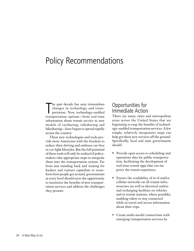# Policy Recommendations

The past decade has seen tremendous<br>changes in technology and trans-<br>portation. New, technology-enabled<br>transportation options—from real-time he past decade has seen tremendous changes in technology and transportation. New, technology-enabled information about transit service to new models of carsharing, ridesharing and bikesharing—have begun to spread rapidly across the country.

These new technologies and tools provide more Americans with the freedom to reduce their driving and embrace car-free or car-light lifestyles. But the full potential of these tools will only be realized if policymakers take appropriate steps to integrate them into the transportation system. Far from just standing back and waiting for hackers and venture capitalists to transform how people get around, governments at every level should seize the opportunity to maximize the benefits of new transportation services and address the challenges they present.

# Opportunities for Immediate Action

There are many cities and metropolitan areas across the United States that are beginning to reap the benefits of technology-enabled transportation services. A few simple, relatively inexpensive steps can help get these new services off the ground. Specifically, local and state governments should:

- Provide open access to scheduling and operations data for public transportation, facilitating the development of real-time transit apps that can improve the transit experience.
- Ensure the availability of wi-fi and/or cellular networks on all transit infrastructure (as well as electrical outlets and recharging facilities on vehicles and in transit stations, where possible), enabling riders to stay connected while in travel and access information about their trips.
- Create multi-modal connections with emerging transportation services by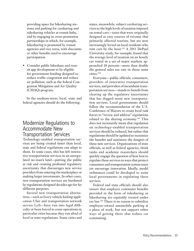providing space for bikesharing stations and parking for carsharing and ridesharing vehicles at transit hubs, and by engaging in cross-promotion partnerships in which, for example, bikesharing is promoted by transit agencies and vice versa, with discounts or other benefits used to encourage participation.

• Consider public bikeshare and transit app development to be eligible for government funding designed to reduce traffic congestion and reduce air pollution, such as the federal Congestion Mitigation and Air Quality (CMAQ) program.

In the medium-term, local, state and federal agencies should do the following:

# Modernize Regulations to Accommodate New Transportation Services

Technology-enabled transportation services are being created faster than local, state and federal regulations can adapt to them. In some cases, this has left innovative transportation services in an unregulated no-man's land—putting the public at risk and creating profound regulatory uncertainty that discourages new service providers from entering the marketplace or making larger investments. In other cases, new transportation services are burdened by regulations designed decades ago for far different purposes.

Several new transportation alternatives—such as livery vehicle hailing application Uber and transportation network service Lyft—have run into legal difficulty or been forced to cease operations in particular cities because they run afoul of local or state regulations. Some cities and states, meanwhile, subject carsharing services to the high levels of taxation imposed on rental cars—taxes that were originally designed as easy sources of revenue that primarily affected tourists, but are now increasingly levied on local residents who rent cars by the hour.<sup>143</sup> A 2011 DePaul University study, for example, found that the average level of taxation on an hourly car rental in a set of major markets approached 18 percent—more than double the general sales tax rate in those same cities.144

Everyone—public officials, consumers, providers of innovative transportation services, and providers of incumbent transportation services—stands to benefit from clearing up the regulatory uncertainty that has dogged many new transportation services. Local governments should follow the recommendation of the U.S. Conference of Mayors to create local task forces to "review and address" regulations related to the sharing economy.145 This does not necessarily mean that regulation on technology-enabled transportation services should be reduced, but rather that regulations should be updated to maximize the benefits and minimize the dangers of these new services. Organizations of state officials, as well as federal agencies, think tanks and academic researchers should quickly engage the question of how best to regulate these services in ways that protect consumers and transportation system users yet encourage innovation. Ideally, model ordinances could be developed to assist local governments in regulating these services.

Federal and state officials should also ensure that employer commuter benefits provided in the form of ridesharing or bikesharing are equitably treated under tax law.146 There is no reason to subsidize employee-owned automobile parking at a place of work, but not support other ways of getting there that reduce car commuting.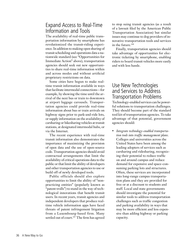# Expand Access to Real-Time Information and Tools

The availability of real-time public transportation information by smartphone has revolutionized the transit-riding experience. In addition to making open sharing of transit scheduling and operations data a nationwide standard (see "Opportunities for Immediate Action" above), transportation agencies should seek out new opportunities to share real-time information within and across modes and without artificial proprietary restrictions on data.

Some cities have begun to make realtime transit information available in ways that facilitate intermodal connections—for example, by showing the time until the arrival of the next bus or train to downtown at airport luggage carousels. Transportation agencies could provide real-time information about bus or train arrivals on highway signs prior to park-and-ride lots, or supply information on the availability of carsharing or bikesharing vehicles at transit stations, at designated intermodal hubs, or via the Internet.

The recent experience with real-time transit information also demonstrates the importance of maximizing the provision of open data and the use of open-source code. Transportation agencies should avoid contractual arrangements that limit the availability of critical operations data to the public or that limit the ability of developers and other transportation agencies to use or build off of newly developed tools.

Public officials should also explore opportunities to limit the ability of "nonpracticing entities" (popularly known as "patent trolls") to stand in the way of technological innovations that benefit transit users. In recent years, transit agencies and independent developers that produce realtime vehicle information apps have faced threats of patent infringement litigation from a Luxembourg-based firm. Many settled out of court.<sup>147</sup> The firm has agreed

to stop suing transit agencies (as a result of a lawsuit filed by the American Public Transportation Association) but similar issues may continue to dog providers of innovative transportation tools and services in the future.<sup>148</sup>

Finally, transportation agencies should take advantage of opportunities for electronic ticketing by smartphone, enabling riders to board transit vehicles more easily and with less hassle.

### Use New Technologies and Services to Address Transportation Problems

Technology-enabled services can be powerful solutions to transportation challenges. They should become part of the standard tool kit of transportation agencies. To take advantage of that potential, government agencies should:

• *Integrate technology-enabled transportation tools into traffic management plans*. Colleges and universities across the United States have been among the leading adopters of services such as carsharing and ridesharing, recognizing their potential to reduce traffic on and around campus and reduce demand for expensive and space-consuming parking lots and structures. Often, these services are incorporated into long-range campus transportation plans and they are provided for free or at a discount to students and staff. Local and state governments should investigate the potential for similar tools to address transportation challenges such as traffic congestion and parking availability in ways that may be more efficient and less expensive than adding highway or parking capacity.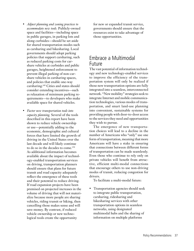- *Adjust planning and zoning practices to accommodate new tools.* Publicly-owned space and facilities—including space in public garages, in parking lots and along curbsides—should be set aside for shared transportation modes such as carsharing and bikesharing. Local governments should adopt parking policies that support carsharing, such as reduced parking costs for carshare vehicles at curbsides and public garages, heightened enforcement to prevent illegal parking of non-carshare vehicles in carsharing spaces, and policies that enable one-way carsharing.149 Cities and states should consider extending incentives—such as relaxation of minimum parking requirements—to developers who make available space for shared vehicles.
- *Factor new transportation tools into capacity planning.* Several of the tools described in this report have been shown to reduce vehicle ownership or use—potentially adding to the economic, demographic and cultural forces that have limited the growth of driving in the United States over the last decade and will likely continue to do so in the decades to come.150 As additional information becomes available about the impact of technology-enabled transportation services on driving, transportation planners should ensure that plans for future transit and road capacity adequately reflect the emergence of these tools and their potential to reduce driving. If road expansion projects have been premised on projected increases in the volume of driving that will not materialize because more people are sharing vehicles, riding transit or biking, then cancelling those makes sense and will save money. By contrast, if reduced vehicle ownership or new technological tools create the opportunity

for new or expanded transit service, governments should ensure that the resources exist to take advantage of those opportunities.

# Embrace a Multimodal Future

The vast potential of information technology and new technology-enabled services to improve the efficiency of the transportation system will only be realized if those new transportation options are fully integrated into a seamless, interconnected network. "New mobility" strategies seek to integrate Internet and mobile communication technologies, various modes of transportation, and smart land-use planning into convenient, sustainable systems for providing people with door-to-door access to the services they need and opportunities they wish to pursue.

The emergence of new transportation choices will lead to a decline in the number of Americans who "only" use one form of transportation, meaning that more Americans will have a stake in ensuring that connections between different forms of transportation can be made seamlessly. Even those who continue to rely only on private vehicles will benefit from attractive, efficient multi-modal connections that encourage others to use non-driving modes of transit, reducing congestion for drivers.

To facilitate a multi-modal future:

• Transportation agencies should seek to integrate public transportation, carsharing, ridesharing and bikesharing services with other transportation options in seamless networks, using designated multimodal hubs and the sharing of information on multiple platforms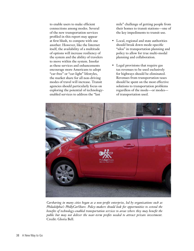to enable users to make efficient connections among modes. Several of the new transportation services profiled in this report may appear at first blush, to compete with one another. However, like the Internet itself, the availability of a multitude of options will increase resiliency of the system and the ability of travelers to move within the system. Insofar as these services and enhancements encourage more Americans to adopt "car-free" or "car-light" lifestyles, the market share for all non-driving modes of travel will increase. Transit agencies should particularly focus on exploring the potential of technologyenabled services to address the "last

mile" challenge of getting people from their homes to transit stations—one of the key impediments to transit use.

- Local, regional and state authorities should break down mode-specific "silos" in transportation planning and policy to allow for true multi-modal planning and collaboration.
- Legal provisions that require gas tax revenues to be used exclusively for highways should be eliminated. Revenues from transportation taxes should be spent on the most effective solutions to transportation problems regardless of the mode—or modes of transportation used.



*Carsharing in many cities began as a non-profit enterprise, led by organizations such as Philadelphia's PhillyCarShare. Policy-makers should look for opportunities to extend the benefits of technology-enabled transportation services to areas where they may benefit the public but may not deliver the near-term profits needed to attract private investment.* Credit: Gloria Bell.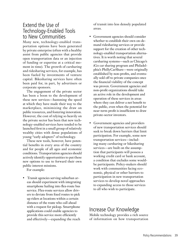# Extend the Use of Technology-Enabled Tools to New Communities

Many new, technology-enabled transportation options have been generated by private enterprise (often with a healthy assist from public agencies that provide open transportation data or an injection of funding or expertise at a critical moment in time). The growth of carsharing and ridesharing services, for example, has been fueled by investments of venture capital. Bikesharing services have often been paid for, in part, by advertisers or corporate sponsors.

The engagement of the private sector has been a boon to the development of these new services—hastening the speed at which they have made their way to the marketplace, minimizing the draw on public resources, and fostering innovation. However, the cost of relying so heavily on the private sector has been that new technology-enabled services have tended to be launched first in a small group of relatively wealthy cities with dense populations of young "early adopters" of technology.

These new tools, however, have potential benefits in every area of the country and for people of all ages and economic conditions. Transportation agencies should actively identify opportunities to put these new options to use to forward their own public interest missions.

For example:

• Transit agencies serving suburban areas should experiment with integrating smartphone hailing into flex-route bus service. Flex-route services allow drivers to deviate from fixed routes to pick up riders at locations within a certain distance of the route who call ahead with a request for pickup. Smartphone applications could enable agencies to provide this service more efficiently and effectively—expanding the reach

of transit into less densely populated areas.

- Government agencies should consider whether to establish their own on-demand ridesharing services or provide support for the creation of other technology-enabled transportation alternatives. It is worth noting that several carsharing systems—such as Chicago's iGo car sharing program and Philadelphia's PhillyCarShare—were originally established by non-profits, and eventually sold off to private companies once the financial viability of the concept was proven. Government agencies and non-profit organizations should take an active role in the development and operation of these services in areas where they can deliver a net benefit to the public, even when the potential for near-term profit is insufficient to draw private-sector investors.
- Government agencies and providers of new transportation services should seek to break down barriers that limit participation. For example, some new transportation services—including many carsharing or bikesharing services—are built on the assumption that participants will possess a working credit card or bank account, a condition that excludes some wouldbe participants. Policy-makers should work with communities facing economic, physical or other barriers to participation in new transportation services to develop novel approaches to expanding access to those services to all who wish to participate.

# Increase Our Knowledge

Mobile technology provides a rich source of information on how transportation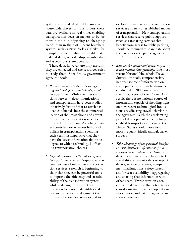systems are used. And unlike surveys of households, drivers or transit riders, these data are available in real time, enabling transportation decision-makers to be far more nimble in adjusting to changing trends than in the past. Recent bikeshare systems such as New York's Citibike, for example, provide publicly available data, updated daily, on ridership, membership and aspects of system operation.

These data, however, are only useful if they are collected and the resources exist to study them. Specifically, government agencies should:

- *Provide resources to study the changing relationship between technology and transportation.* While the interactions between telecommunications and transportation have been studied intensively, little of that research has been conducted since the commercialization of the smartphone and advent of the new transportation services profiled in this report. As policy-makers consider how to invest billions of dollars in transportation spending each year, it is imperative that they have the latest information about the degree to which technology is affecting transportation choices.
- *Expand research into the impacts of new transportation services.* Despite the relative newness of many new transportation services, research is beginning to show that they can be powerful tools to improve the efficiency and sustainability of the transportation system while reducing the cost of transportation to households. Additional research is needed to document the impacts of these new services and to

explore the interactions between these services and new or established modes of transportation. New transportation services that receive public support (such as carsharing services that benefit from access to public parking) should be required to share data about their services with public agencies and/or researchers.

- *Improve the quality and consistency of transportation data generally.* The most recent National Household Travel Survey – the sole, comprehensive, national source of information on travel patterns by households—was conducted in 2008, one year after the introduction of the iPhone. As a result, there is no national source of information capable of shedding light on how recent technological innovations are affecting travel behavior in the aggregate. With the accelerating pace of development of technologyenabled transportation services, the United States should move toward more frequent, ideally annual, travel surveys.<sup>151</sup>
- *Take advantage of the potential benefits of "crowdsourced" information from transportation system users.* Some app developers have already begun to tap the ability of transit riders to report delays, service problems, equipment malfunctions, safety issues and/or seat availability—aggregating and sharing that information with other users. Transportation agencies should examine the potential for crowdsourcing to provide operational information and data to agencies and their customers.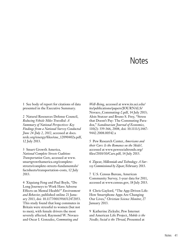# **Notes**

1 See body of report for citations of data presented in the Executive Summary.

2 Natural Resources Defense Council, *Reducing Vehicle Miles Travelled: A Summary of National Perspectives: Key Findings from a National Survey Conducted June 24-July 2, 2012*, accessed at docs. nrdc.org/energy/files/ene\_12090402a.pdf, 12 July 2013.

3 Smart Growth America, *National Complete Streets Coalition: Transportation Costs*, accessed at www. smartgrowthamerica.org/completestreets/complete-streets-fundamentals/ factsheets/transportation-costs, 12 July 2013.

4 Xiquiang Feng and Paul Boyle, "Do Long Journeys to Work Have Adverse Effects on Mental Health?" *Environment and Behavior*, published online 21 January 2013, doi: 10.1177/0013916512472053. This study found that long commutes in Britain were stressful to women (but not to men), with female drivers the most severely affected; Raymond W. Novaco and Oscar I. Gonzalez, *Commuting and* 

*Well-Being*, accessed at www.its.uci.edu/ its/publications/papers/JOURNALS/ Novaco\_Commuting-2.pdf, 14 July 2013; Alois Stutzer and Bruno S. Frey, "Stress that Doesn't Pay: The Commuting Paradox," *Scandinavian Journal of Economics*, 110(2): 339-366, 2008, doi: 10.1111/j.1467- 9442.2008.00542.x

5 Pew Research Center, *Americans and their Cars: Is the Romance on the Skids?,*  accessed at www.pewsocialtrends.org/ files/2010/10/Cars.pdf, 14 July 2013.

6 Zipcar, *Millennials and Technology: A Survey Commissioned by Zipcar*, February 2013.

7 U.S. Census Bureau, American Community Survey, 1-year data for 2011, accessed at www.census.gov, 18 July 2013.

8 Chris Gaylord, "The App-Driven Life: How Smartphone Apps Are Changing Our Lives," *Christian Science Monitor*, 27 January 2013.

9 Katherine Zickuhr, Pew Internet and American Life Project, *Mobile is the Needle; Social is the Thread*, Presented at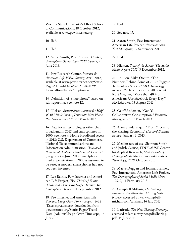Wichita State University's Elliott School of Communications, 18 October 2012, available at www.pewinternet.org.

10 Ibid.

11 Ibid.

12 Aaron Smith, Pew Research Center, *Smartphone Ownership – 2013 Update*, 5 June 2013.

13 Pew Research Center, *Internet & American Life Mobile Survey*, April 2012, available at www.pewinternet.org/Static-Pages/Trend-Data-%28Adults%29/ Home-Broadband-Adoption.aspx.

14 Definition of "smartphone" based on self-reporting. See note 12.

15 Nielsen, *Smartphones Account for Half of All Mobile Phones, Dominate New Phone Purchases in the U.S.*, 29 March 2012.

16 Data for all technologies other than broadband in 2012 and smartphones in 2000: see note 9; Home broadband access in 2012: U.S. Department of Commerce, National Telecommunications and Information Administration, *Household Broadband Adoption Climbs to 72.4 Percent* (blog post), 6 June 2013. Smartphone market penetration in 2000 is assumed to be zero, as modern smartphones had not yet been invented.

17 Lee Rainie, Pew Internet and American Life Project, *Two-Thirds of Young Adults and Those with Higher Income Are Smartphone Owners*, 11 September 2012.

18 Pew Internet and American Life Project*, Usage Over Time – August 2012* (Excel spreadsheet), downloaded from pewinternet.org/Static-Pages/Trend-Data-(Adults)/Usage-Over-Time.aspx, 16 July 2013.

19 Ibid.

20 See note 17.

21 Aaron Smith, Pew Internet and American Life Project, *Americans and Text Messaging*, 19 September 2011.

22 Ibid.

23 Nielsen, *State of the Media: The Social Media Report 2012*, 3 December 2012.

24 1 billion: Mike Orcutt, "The Numbers Behind Some of 2012's Biggest Technology Stories," *MIT Technology Review*, 26 December 2012; 40 percent: Kurt Wagner, "More than 40% of Americans Use Facebook Every Day," *Mashable.com*, 13 August 2013.

25 Geoff Anderson, "Gen Y: Collaborative Consumption," *Financial Management*, 19 March 2013.

26 Arun Sundararajan, "From Zipcar to the Sharing Economy," *Harvard Business Review*, January 3, 2013.

27 Median rate of use: Shannon Smith and Judith Caruso, EDUCAUSE Center for Applied Research, *ECAR Study of Undergraduate Students and Information Technology, 2010*, October 2010.

28 Maeve Duggan and Joanna Brenner, Pew Internet and American Life Project, *The Demographics of Social Media Users – 2012*, 14 February 2013.

29 Campbell Mithun, *The Sharing Economy: Are Marketers Missing Out?*  (video), accessed at www.campbellmithun.com/talkinar, 14 July 2013.

30 Latitude, *The New Sharing Economy*, accessed at latdsurvey.net/pdf/Sharing. pdf, 14 July 2013.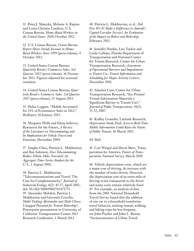31 Peter J. Mateyka, Melanie A. Rapino and Liana Christin Landivar, U.S. Census Bureau, *Home-Based Workers in the United States: 2010*, October 2012.

32 U.S. Census Bureau, *Census Bureau Report Shows Steady Increase in Home-Based Workers Since 1999* (press release), 4 October 2012.

33 United States Census Bureau, *Quarterly Retail e-Commerce Sales: 3rd Quarter 2012* (press release), 16 November 2012. Figures adjusted for seasonal variation.

34 United States Census Bureau, *Quarterly Retail e-Commerce Sales: 2rd Quarter 2013* (press release), 15 August 2013.

35 Helen Leggatt, "Mobile Accounted for 11% of Ecommerce Sales in 2012," *BizReport*, 10 January 2013.

36 Margaret Walls and Elena Safirova, Resources for the Future, *A Review of the Literature on Telecommuting and Its Implications for Vehicle Travel and Emissions*, December 2004.

37 Sangho Choo, Patricia L. Mokhtarian and Ilan Salomon, *Does Telecommuting Reduce Vehicle-Miles Traveled? An Aggregate Time-Series Analysis for the U.S.*, 1 August 2002.

38 Patricia L. Mokhtarian, "Telecommunications and Travel: The Case for Complementarity," *Journal of Industrial Ecology*, 6(2): 43-57, April 2002, doi: 10.1162/108819802763471771. 39 Alexander Malokin, Patricia L. Mokhtarian and Giovanni Cercella, *Multi-Tasking Aficionados and Mode Choice: Untapped Potential for Transit Ridership?*, Powerpoint presentation to University of California Transportation Center 2013 Research Conference, 1 March 2013.

40 Patricia L. Mokhtarian, et al., *Did Free Wi-Fi Make a Difference to Amtrak's Capital Corridor Service? An Evaluation of the Impact on Riders and Ridership*, February 2013.

41 Jennifer Hardin, Lisa Tucker and Linda Callejas, Florida Department of Transportation and National Center for Transit Research, Center for Urban Transportation Research, *Assessment of Operational Barriers and Impediments to Transit Use: Transit Information and Scheduling for Major Activity Centers*, December 2001.

42 Alasdair Cain, Center for Urban Transportation Research, "Are Printed Transit Information Materials a Significant Barrier to Transit Use?," *Journal of Public Transportation,* 10(2): 33-52, 2007.

43 Kadley Gosselin, Latitude Research, *Deprivation Study Finds Access to Real-Time Mobile Information Could Raise the Status of Public Transit*, 16 March 2011.

44 Ibid.

45 Lori Weigel and David Metz, Transportation for America, *Future of Transportation National Survey*, March 2010.

46 Vehicle depreciation costs, which are a major cost of driving, do increase with the number of miles driven. However, the depreciation cost of an extra mile of driving is not transparent to the driver and many costs remain relatively fixed. 47 For example, an analysis of data from the 2001 National Household Travel Survey found that the addition of one car to a household transforms travel behavior, making transit, walking and biking trips far less frequent, see John Pucher and John L. Renne, "Socioeconomics of Urban Travel: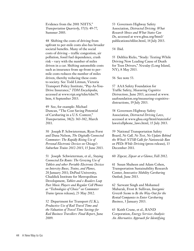Evidence from the 2001 NHTS," *Transportation Quarterly*, 57(3): 49-77, Summer 2003.

48 Shifting the costs of driving from upfront to per-mile costs also has broader societal benefits. Many of the social costs of driving – traffic congestion, air pollution, fossil fuel dependence, crash risk – vary with the number of miles driven in a car. Shifting automobile costs such as insurance from up-front to permile costs reduces the number of miles driven, thereby reducing these costs to society. See Todd Litman, Victoria Transport Policy Institute, "Pay-As-You-Drive Insurance," *TDM Encyclopedia*, accessed at www.vtpi.org/tdm/tdm79. htm, 6 September 2013.

49 See, for example: Michael Duncan, "The Cost Saving Potential of Carsharing in a U.S. Context," *Transportation*, 38(2): 363-382, March 2011.

50 Joseph P. Schwieterman, Ryan Forst and Dana Nelson, *The Digitally Connected Commuter: The Rapidly Rising Use of Personal Electronic Devices on Chicago's Suburban Trains 2012-2013*, 15 June 2013.

51 Joseph Schwieterman, et al., *Staying Connected En Route: The Growing Use of Tablets and other Portable Electronic Devices on Intercity Buses, Trains, and Planes*, 20 January 2011; DePaul University, Chaddick Institute for Metropolitan Development, *Tablets and e-Readers Leap Past Music Players and Regular Cell Phones as "Technologies of Choice" on Commuter Trains* (press release), 23 May 2012.

52 Department for Transport (U.K.), *Productive Use of Rail Travel Time and the Valuation of Travel Time Savings for Rail Business Travellers: Final Report*, June 2009.

53 Governors Highway Safety Association, *Distracted Driving: What Research Shows and What States Can Do*, accessed at www.ghsa.org/html/ publications/sfdist.html, 14 July 2013.

54 Ibid.

55 Delthia Ricks, "Study: Texting While Driving Now Leading Cause of Death for Teen Drivers," *Newsday* (Long Island, NY), 8 May 2013.

56 See note 53.

57 AAA Safety Foundation for Traffic Safety, *Measuring Cognitive Distractions,* June 2013, accessed at www. aaafoundation.org/measuring-cognitivedistractions, 19 July 2013.

58 Governors Highway Safety Association, *Distracted Driving Laws*, accessed at www.ghsa.org/html/stateinfo/ laws/cellphone\_laws.html, 15 July 2013.

59 National Transportation Safety Board, *No Call, No Text, No Update Behind the Wheel: NTSB Calls for Nationwide Ban on PEDs While Drivin*g (press release), 13 December 2011.

60 Zipcar, *Zipcar at a Glance*, Fall 2012.

61 Susan Shaheen and Adam Cohen, Transportation Sustainability Research Center, *Innovative Mobility Carsharing Outlook,* June 2013.

62 Sarwant Singh and Mohamed Mubarak, Frost & Sullivan, *Inorganic Growth Seems to Be the Way-Out for the Rental Companies to Enter Carsharing Business*, 3 January 2013.

63 Keith Crane, et al., RAND Corporation, *Energy Services Analysis: An Alternative Approach for Identifying*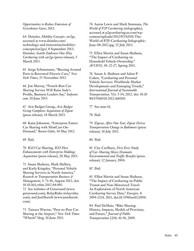*Opportunities to Reduce Emissions of Greenhouse Gases*, 2012.

64 Daimler, *Mobility Concepts: car2go*, accessed at www.daimler.com/ technology-and-innovation/mobilityconcepts/car2go/, 8 September 2013; Daimler, *Seattle Embraces One-Way Carsharing with car2go* (press release), 5 March 2013.

65 Serge Schmemann, "Buzzing Around Paris in Borrowed Electric Cars," *New York Times*, 25 November 2012.

66 Jon Murray, "French-Run Car-Sharing Service Will Raise Indy's Profile, Business Leaders Say," *Indystar. com*, 10 June 2013.

67 Avis Budget Group, *Avis Budget Group Completes Acquisition of Zipcar* (press release), 14 March 2013.

68 Katie Johnston, "Enterprise Enters Car Sharing with MintCars On-Demand," *Boston Globe*, 18 May 2012.

69 Ibid.

70 IGO Car Sharing*, IGO Fleet Enhancements with Enterprise Holdings Acquisition* (press release), 28 May 2013.

71 Susan Shaheen, Mark Mallery, and Karla Kingsley, "Personal Vehicle Sharing Services in North America," *Research in Transportation Business & Management*, 3: 71-81, August 2012, doi: 10.10.16/j.rtbm.2012.04.005. 72 See websites of Getaround (www. getaround.com), RelayRides (relayrides. com), and JustShareIt (www.justshareit. com).

73 Tamara Warren, "Peer-to-Peer Car Sharing at the Airport," *New York Times* "Wheels" blog, 10 June 2013.

74 Aaron Lewis and Mark Simmons, *The World of P2P Carsharing* (infographic), accessed at p2pcarsharing.us.com/wpcontent/uploads/2012/07/AI101-The-World-of-P2P-Carsharing-Infographic-June-08-2012.jpg, 15 July 2013.

75 Elliot Martin and Susan Shaheen, "The Impact of Carsharing on Household Vehicle Ownership," *ACCESS*, 38: 22-27, Spring 2011.

76 Susan A. Shaheen and Adam P. Cohen, "Carsharing and Personal Vehicle Services: Worldwide Market Developments and Emerging Trends," *International Journal of Sustainable Transportation*, 7(1): 5-34, 2012, doi: 10.10 80/15568318.2012.660103.

77 See note 61.

78 Ibid.

79 Zipcar, *After One Year, Zipcar Drives Transportation Change in Baltimore* (press release), 18 July 2011.

80 Ibid.

81 City CarShare, *First Ever Study of Car-Sharing Shows Dramatic Environmental and Traffic Benefits* (press release), 12 January 2004.

82 Ibid.

83 Elliot Martin and Susan Shaheen, "The Impact of Carsharing on Public Transit and Non-Motorized Travel: An Exploration of North American Carsharing Survey Data," *Energies,* 4: 2094-2114, 2011, doi:10.3390/en4112094.

84 Paul DeMaio, "Bike-Sharing: History, Impacts, Models of Provision, and Future," *Journal of Public Transportation* 12(4): 41-56, 2009.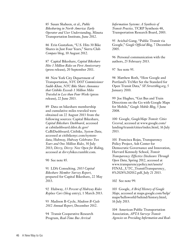85 Susan Shaheen, et al., *Public Bikesharing in North America: Early Operator and User Understanding,* Mineta Transportation Institute, June 2012.

86 Erin Gustafson, "U.S. Hits 30 Bike Shares in Just Four Years," Sierra Club *Compass* blog, 10 August 2012.

87 Capital Bikeshare, *Capital Bikeshare Hits 1 Million Rides on First Anniversary* (press release), 20 September 2011.

88 New York City Department of Transportation, *NYC DOT Commissioner Sadik-Khan, NYC Bike Share Announce that Citibike Exceeds 1 Million Miles Traveled in Less than Four Weeks* (press release), 22 June 2013.

89 Data on bikeshare membership and cumulative miles traveled were obtained on 22 August 2013 from the following sources: Capital Bikeshare, *Capital Bikeshare Dashboard*, accessed at cabidashboard.ddot.dc.gov/ CaBiDashboard; Citibike, *System Data*, accessed at citibikenyc.com/systemdata; Hubway, *Hubway Celebrates Two Years and One Million Rides*, 30 July 2013; *Divvy, Divvy: Now Open for Riding*, accessed at divvybikes.tumblr.com.

90 See note 85*.*

91 LDA Consulting, *2013 Capital Bikeshare Member Survey Report*, prepared for Capital Bikeshare, 22 May 2013.

92 Hubway, *13 Percent of Hubway Rides Replace Cars* (blog entry), 1 March 2013.

93 Madison B-Cycle, *Madison B-Cycle 2012 Annual Report*, December 2012.

94 Transit Cooperative Research Program, *Real-Time Bus Arrival* 

*Information Systems: A Synthesis of Transit Practice,* TCRP Synthesis 48, Transportation Research Board, 2003.

95 Avichal Gang, "Public Transit via Google," *Google Official Blog*, 7 December 2005.

96 Personal communication with the authors, 25 February 2013.

97 See note 95.

98 Matthew Roth, "How Google and Portland's TriMet Set the Standard for Open Transit Data," *SF.Streetsblog.org*, 5 January 2010.

99 Joe Hughes, "Get Bus and Train Directions on the Go with Google Maps for Mobile," *Google Mobile Blog*, 5 June 2008.

100 Google, *GoogleMaps Transit: Cities Covered*, accessed at www.google.com/ landing/transit/cities/index.html, 16 July 2013.

101 Francisca Rojas, Transparency Policy Project, Ash Center for Democratic Governance and Innovation, Harvard Kennedy School, *Transit Transparency: Effective Disclosure Through Open Data*, Spring 2012, accessed at www.transparencypolicy.net/assets/ FINAL\_UTC\_TransitTransparency\_ 8%2028%202012.pdf, July 21 2013.

102 See note 99.

103 Google, *A Brief History of Google Maps*, accessed at maps.google.com/help/ maps/helloworld/behind/history.html, 16 July 2013.

104 American Public Transportation Association, *APTA Surveys Transit Agencies on Providing Information and Real-*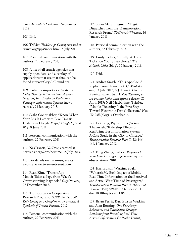*Time Arrivals to Customers*, September 2012.

105 Ibid.

106 TriMet, *TriMet App Center*, accessed at trimet.org/apps/index.htm, 16 July 2013.

107 Personal communication with the authors, 25 February 2013.

108 A list of all transit agencies that supply open data, and a catalog of applications that use that data, can be found at www.CityGoRound.org.

109 Cubic Transportation Systems, *Cubic Transportation Systems Acquires NextBus, Inc., Leader in Real-Time Passenger Information Systems* (news release), 24 January 2013.

110 Sasha Gontmakher, "Know When Your Bus Is Late with Live Transit Updates in Google Maps," *Google Official Blog*, 8 June 2011.

111 Personal communication with the authors, 22 February 2013.

112 NexTransit, *NexTime*, accessed at nextransit.org/apps/nextime, 16 July 2013.

113 For details on Tiramisu, see its website, www.tiramisutransit.com.

114 Ryan Kim, "Transit App Moovit Takes a Page from Waze's Crowdsourcing Playbook," *GigaOm.com*, 27 December 2012.

115 Transportation Cooperative Research Program, *TCRP Synthesis 98: Ridesharing as a Complement to Transit: A Synthesis of Transit Practice*, 2012.

116 Personal communication with the authors, 22 February 2013.

117 Susan Mara Bregman, "Digital Dispatches from the Transportation Research Front," *TheTransitWire.com*, 16 January 2013.

118 Personal communication with the authors, 22 February 2013.

119 Emily Badger, "Finally: A Transit Ticket on Your Smartphone," *The Atlantic Cities* (blog), 16 January 2013.

120 Ibid.

121 Andrea Smith, "This App Could Replace Your Train Ticket," *Mashable. com*, 13 July 2012; NJ Transit, *Christie Administration Pilots Mobile Ticketing on the Pascack Valley Line* (press release), 25 April 2013; Neil MacFarlane, TriMet, "Mobile Ticketing Is the First Step Toward Electronic Fare Collection," *How We Roll* (blog), 5 October 2012.

122 Lei Tang, Piyushimita (Vonu) Thakuriah, "Ridership Effects of Real-Time Bus Information System: A Case Study in the City of Chicago," *Transportation Research Part C,* 22: 146– 161, 1 January 2012.

123 Feng Zhang, *Traveler Responses to Real-Time Passenger Information Systems* (dissertation), 2010.

124 Kari Edison Watkins, et al., "Where's My Bus? Impact of Mobile Real-Time Information on the Perceived and Actual Wait Time of Passengers," *Transportation Research Part A: Policy and Practice*, 45(8):839-848, October 2011, doi: 10.1016/j.tra.2011.06.010.

125 Brian Ferris, Kari Edison Watkins and Alan Borning, *One Bus Away: Behavioral and Satisfaction Changes Resulting from Providing Real-Time Arrival Information for Public Transit*,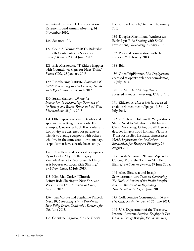submitted to the 2011 Transportation Research Board Annual Meeting, 14 November 2010.

126 See note 101.

127 Colin A. Young, "MBTA Ridership Growth Contributes to Nationwide Surge," *Boston Globe*, 4 June 2012.

128 Eric Moskowitz, "T Riders Happier with Countdown Signs for Next Train," *Boston Globe*, 23 January 2013.

129 Ridesharing Institute: *Summary of C2ES Ridesharing Brief – Context, Trends and Opportunities*, 22 March 2012.

130 Susan Shaheen, *Disruptive Innovations in Ridesharing: Overview of its History and Recent Trends in Real-Time Ridematching*, 28 July 2013.

131 Other apps take a more traditional approach to setting up carpools. For example, Carpool School, KarPooler, and Looptivity are designed for parents or friends to arrange carpools with others who live in the same area – or to manage carpools that have already been set up.

132 130 college and corporate campuses: Ryan Lawler, "Lyft Sells Legacy Zimride Assets to Enterprise Holdings as it Focuses on Local Ride Sharing," *TechCrunch.com*, 12 July 2013.

133 Kim-Mai Cutler, "Zimride Brings Ride Sharing to New York and Washington D.C.," *TechCrunch.com*, 3 August 2012.

134 Juan Matute and Stephanie Pincetl, Next 10, *Unraveling Ties to Petroleum: How Policy Drives California's Demand for Oil*, June 2013.

135 Christine Lagorio, "Inside Uber's

Latest Taxi Launch," *Inc.com*, 14 January 2013.

136 Douglas Macmillan, "Andreessen Backs Lyft Ride Sharing with \$60M Investment," *Bloomberg*, 23 May 2013.

137 Personal conversation with the authors, 25 February 2013.

138 Ibid.

139 OpenTripPlanner, *Live Deployments*, accessed at opentripplanner.com/demos, 17 July 2013.

140 TriMet, *TriMet Trip Planner*, accessed at maps.trimet.org, 17 July 2013.

141 RideScout, *How it Works*, accessed at aboutridescout.com/?page\_id=361, 17 July 2013.

142 2025: Ryan Holeywell, "6 Questions States Need to Ask about Self-Driving Cars," *Governing*, 13 August 2013; several decades longer: Todd Litman, Victoria Transport Policy Institute, *Autonomous Vehicle Implementation Predictions: Implications for Transport Planning*, 26 August 2013.

143 Sarah Nussauer, "If Your Zipcar Is Costing More, the Taxman May Be to Blame," *Wall Street Journal*, 19 June 2008.

144 Alice Bieszczat and Joseph Schwieterman, *Are Taxes on Carsharing Too High? A Review of the Public Benefits and Tax Burden of an Expanding Transportation Sector*, 28 June 2011.

145 Collaborative Consumption, *Shareable Cities Resolution: Passed*, 26 June 2013.

146 U.S. Department of the Treasury, Internal Revenue Service*, Employer's Tax Guide to Fringe Benefits, for Use in 2013*,